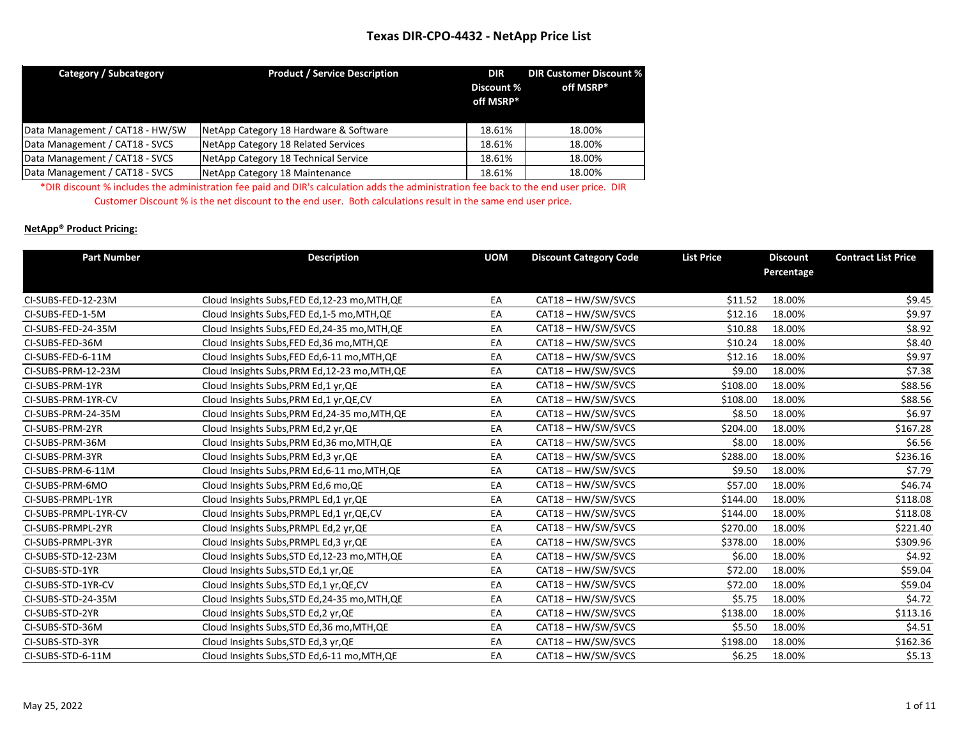| Category / Subcategory          | <b>Product / Service Description</b>   | <b>DIR</b><br>Discount %<br>off MSRP* | <b>DIR Customer Discount %</b><br>off MSRP* |
|---------------------------------|----------------------------------------|---------------------------------------|---------------------------------------------|
| Data Management / CAT18 - HW/SW | NetApp Category 18 Hardware & Software | 18.61%                                | 18.00%                                      |
| Data Management / CAT18 - SVCS  | NetApp Category 18 Related Services    | 18.61%                                | 18.00%                                      |
| Data Management / CAT18 - SVCS  | NetApp Category 18 Technical Service   | 18.61%                                | 18.00%                                      |
| Data Management / CAT18 - SVCS  | NetApp Category 18 Maintenance         | 18.61%                                | 18.00%                                      |

\*DIR discount % includes the administration fee paid and DIR's calculation adds the administration fee back to the end user price. DIR Customer Discount % is the net discount to the end user. Both calculations result in the same end user price.

#### **NetApp® Product Pricing:**

| <b>Part Number</b>   | <b>Description</b>                             | <b>UOM</b> | <b>Discount Category Code</b> | <b>List Price</b> | <b>Discount</b> | <b>Contract List Price</b> |
|----------------------|------------------------------------------------|------------|-------------------------------|-------------------|-----------------|----------------------------|
|                      |                                                |            |                               |                   | Percentage      |                            |
|                      |                                                |            |                               |                   |                 |                            |
| CI-SUBS-FED-12-23M   | Cloud Insights Subs, FED Ed, 12-23 mo, MTH, QE | EA         | CAT18 - HW/SW/SVCS            | \$11.52           | 18.00%          | \$9.45                     |
| CI-SUBS-FED-1-5M     | Cloud Insights Subs, FED Ed, 1-5 mo, MTH, QE   | EA         | CAT18 - HW/SW/SVCS            | \$12.16           | 18.00%          | \$9.97                     |
| CI-SUBS-FED-24-35M   | Cloud Insights Subs, FED Ed, 24-35 mo, MTH, QE | EA         | CAT18 - HW/SW/SVCS            | \$10.88           | 18.00%          | \$8.92                     |
| CI-SUBS-FED-36M      | Cloud Insights Subs, FED Ed, 36 mo, MTH, QE    | EA         | CAT18 - HW/SW/SVCS            | \$10.24           | 18.00%          | \$8.40                     |
| CI-SUBS-FED-6-11M    | Cloud Insights Subs, FED Ed, 6-11 mo, MTH, QE  | EA         | CAT18 - HW/SW/SVCS            | \$12.16           | 18.00%          | \$9.97                     |
| CI-SUBS-PRM-12-23M   | Cloud Insights Subs, PRM Ed, 12-23 mo, MTH, QE | EA         | CAT18 - HW/SW/SVCS            | \$9.00            | 18.00%          | \$7.38                     |
| CI-SUBS-PRM-1YR      | Cloud Insights Subs, PRM Ed, 1 yr, QE          | EA         | CAT18 - HW/SW/SVCS            | \$108.00          | 18.00%          | \$88.56                    |
| CI-SUBS-PRM-1YR-CV   | Cloud Insights Subs, PRM Ed, 1 yr, QE, CV      | EA         | CAT18 - HW/SW/SVCS            | \$108.00          | 18.00%          | \$88.56                    |
| CI-SUBS-PRM-24-35M   | Cloud Insights Subs, PRM Ed, 24-35 mo, MTH, QE | EA         | CAT18 - HW/SW/SVCS            | \$8.50            | 18.00%          | \$6.97                     |
| CI-SUBS-PRM-2YR      | Cloud Insights Subs, PRM Ed, 2 yr, QE          | EA         | CAT18 - HW/SW/SVCS            | \$204.00          | 18.00%          | \$167.28                   |
| CI-SUBS-PRM-36M      | Cloud Insights Subs, PRM Ed, 36 mo, MTH, QE    | EA         | CAT18 - HW/SW/SVCS            | \$8.00            | 18.00%          | \$6.56                     |
| CI-SUBS-PRM-3YR      | Cloud Insights Subs, PRM Ed, 3 yr, QE          | EA         | CAT18-HW/SW/SVCS              | \$288.00          | 18.00%          | \$236.16                   |
| CI-SUBS-PRM-6-11M    | Cloud Insights Subs, PRM Ed, 6-11 mo, MTH, QE  | EA         | CAT18 - HW/SW/SVCS            | \$9.50            | 18.00%          | \$7.79                     |
| CI-SUBS-PRM-6MO      | Cloud Insights Subs, PRM Ed, 6 mo, QE          | EA         | CAT18 - HW/SW/SVCS            | \$57.00           | 18.00%          | \$46.74                    |
| CI-SUBS-PRMPL-1YR    | Cloud Insights Subs, PRMPL Ed, 1 yr, QE        | EA         | CAT18 - HW/SW/SVCS            | \$144.00          | 18.00%          | \$118.08                   |
| CI-SUBS-PRMPL-1YR-CV | Cloud Insights Subs, PRMPL Ed, 1 yr, QE, CV    | EA         | CAT18 - HW/SW/SVCS            | \$144.00          | 18.00%          | \$118.08                   |
| CI-SUBS-PRMPL-2YR    | Cloud Insights Subs, PRMPL Ed, 2 yr, QE        | EA         | CAT18 - HW/SW/SVCS            | \$270.00          | 18.00%          | \$221.40                   |
| CI-SUBS-PRMPL-3YR    | Cloud Insights Subs, PRMPL Ed, 3 yr, QE        | EA         | CAT18 - HW/SW/SVCS            | \$378.00          | 18.00%          | \$309.96                   |
| CI-SUBS-STD-12-23M   | Cloud Insights Subs, STD Ed, 12-23 mo, MTH, QE | EA         | CAT18-HW/SW/SVCS              | \$6.00            | 18.00%          | \$4.92                     |
| CI-SUBS-STD-1YR      | Cloud Insights Subs, STD Ed, 1 yr, QE          | EA         | CAT18 - HW/SW/SVCS            | \$72.00           | 18.00%          | \$59.04                    |
| CI-SUBS-STD-1YR-CV   | Cloud Insights Subs, STD Ed, 1 yr, QE, CV      | EA         | CAT18 - HW/SW/SVCS            | \$72.00           | 18.00%          | \$59.04                    |
| CI-SUBS-STD-24-35M   | Cloud Insights Subs, STD Ed, 24-35 mo, MTH, QE | EA         | CAT18 - HW/SW/SVCS            | \$5.75            | 18.00%          | \$4.72                     |
| CI-SUBS-STD-2YR      | Cloud Insights Subs, STD Ed, 2 yr, QE          | EA         | CAT18 - HW/SW/SVCS            | \$138.00          | 18.00%          | \$113.16                   |
| CI-SUBS-STD-36M      | Cloud Insights Subs, STD Ed, 36 mo, MTH, QE    | EA         | CAT18 - HW/SW/SVCS            | \$5.50            | 18.00%          | \$4.51                     |
| CI-SUBS-STD-3YR      | Cloud Insights Subs, STD Ed, 3 yr, QE          | EA         | CAT18 - HW/SW/SVCS            | \$198.00          | 18.00%          | \$162.36                   |
| CI-SUBS-STD-6-11M    | Cloud Insights Subs, STD Ed, 6-11 mo, MTH, QE  | EA         | CAT18 - HW/SW/SVCS            | \$6.25            | 18.00%          | \$5.13                     |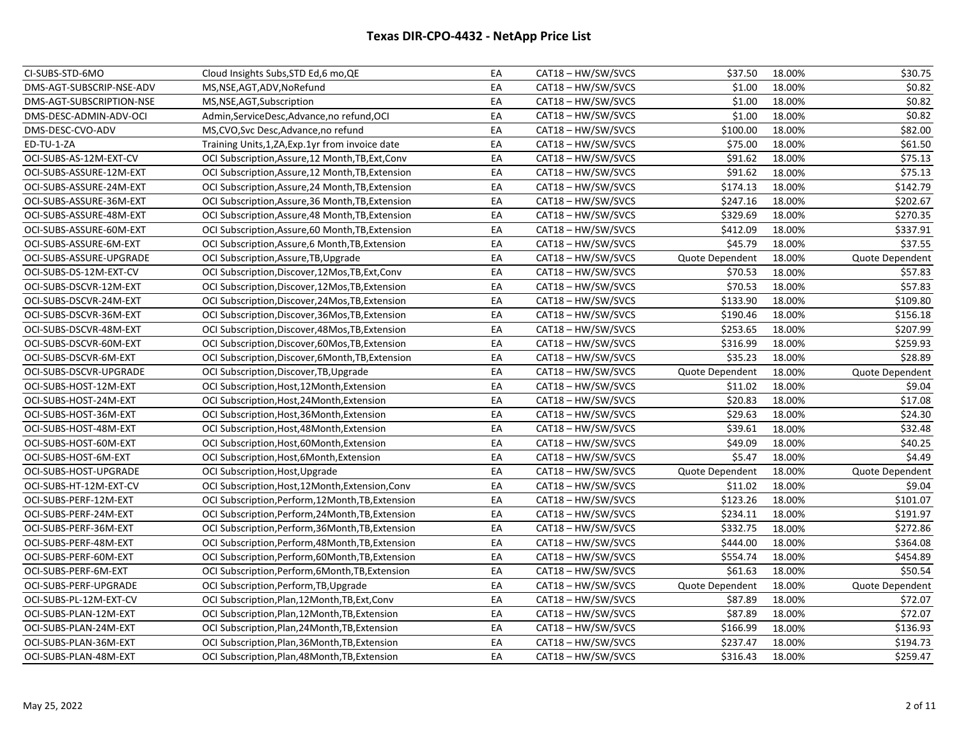| CI-SUBS-STD-6MO          | Cloud Insights Subs, STD Ed, 6 mo, QE              | EA | CAT18 - HW/SW/SVCS | \$37.50         | 18.00% | \$30.75         |
|--------------------------|----------------------------------------------------|----|--------------------|-----------------|--------|-----------------|
| DMS-AGT-SUBSCRIP-NSE-ADV | MS, NSE, AGT, ADV, NoRefund                        | EA | CAT18 - HW/SW/SVCS | \$1.00          | 18.00% | \$0.82          |
| DMS-AGT-SUBSCRIPTION-NSE | MS, NSE, AGT, Subscription                         | EA | CAT18 - HW/SW/SVCS | \$1.00          | 18.00% | \$0.82          |
| DMS-DESC-ADMIN-ADV-OCI   | Admin, Service Desc, Advance, no refund, OCI       | EA | CAT18 - HW/SW/SVCS | \$1.00          | 18.00% | \$0.82          |
| DMS-DESC-CVO-ADV         | MS, CVO, Svc Desc, Advance, no refund              | EA | CAT18 - HW/SW/SVCS | \$100.00        | 18.00% | \$82.00         |
| ED-TU-1-ZA               | Training Units, 1, ZA, Exp. 1yr from invoice date  | EA | CAT18 - HW/SW/SVCS | \$75.00         | 18.00% | \$61.50         |
| OCI-SUBS-AS-12M-EXT-CV   | OCI Subscription, Assure, 12 Month, TB, Ext, Conv  | EA | CAT18 - HW/SW/SVCS | \$91.62         | 18.00% | \$75.13         |
| OCI-SUBS-ASSURE-12M-EXT  | OCI Subscription, Assure, 12 Month, TB, Extension  | EA | CAT18 - HW/SW/SVCS | \$91.62         | 18.00% | \$75.13         |
| OCI-SUBS-ASSURE-24M-EXT  | OCI Subscription, Assure, 24 Month, TB, Extension  | EA | CAT18 - HW/SW/SVCS | \$174.13        | 18.00% | \$142.79        |
| OCI-SUBS-ASSURE-36M-EXT  | OCI Subscription, Assure, 36 Month, TB, Extension  | EA | CAT18 - HW/SW/SVCS | \$247.16        | 18.00% | \$202.67        |
| OCI-SUBS-ASSURE-48M-EXT  | OCI Subscription, Assure, 48 Month, TB, Extension  | EA | CAT18-HW/SW/SVCS   | \$329.69        | 18.00% | \$270.35        |
| OCI-SUBS-ASSURE-60M-EXT  | OCI Subscription, Assure, 60 Month, TB, Extension  | EA | CAT18-HW/SW/SVCS   | \$412.09        | 18.00% | \$337.91        |
| OCI-SUBS-ASSURE-6M-EXT   | OCI Subscription, Assure, 6 Month, TB, Extension   | EA | CAT18 - HW/SW/SVCS | \$45.79         | 18.00% | \$37.55         |
| OCI-SUBS-ASSURE-UPGRADE  | OCI Subscription, Assure, TB, Upgrade              | EA | CAT18 - HW/SW/SVCS | Quote Dependent | 18.00% | Quote Dependent |
| OCI-SUBS-DS-12M-EXT-CV   | OCI Subscription, Discover, 12Mos, TB, Ext, Conv   | EA | CAT18 - HW/SW/SVCS | \$70.53         | 18.00% | \$57.83         |
| OCI-SUBS-DSCVR-12M-EXT   | OCI Subscription, Discover, 12Mos, TB, Extension   | EA | CAT18 - HW/SW/SVCS | \$70.53         | 18.00% | \$57.83         |
| OCI-SUBS-DSCVR-24M-EXT   | OCI Subscription, Discover, 24 Mos, TB, Extension  | EA | CAT18 - HW/SW/SVCS | \$133.90        | 18.00% | \$109.80        |
| OCI-SUBS-DSCVR-36M-EXT   | OCI Subscription, Discover, 36 Mos, TB, Extension  | EA | CAT18 - HW/SW/SVCS | \$190.46        | 18.00% | \$156.18        |
| OCI-SUBS-DSCVR-48M-EXT   | OCI Subscription, Discover, 48Mos, TB, Extension   | EA | CAT18 - HW/SW/SVCS | \$253.65        | 18.00% | \$207.99        |
| OCI-SUBS-DSCVR-60M-EXT   | OCI Subscription, Discover, 60Mos, TB, Extension   | EA | CAT18 - HW/SW/SVCS | \$316.99        | 18.00% | \$259.93        |
| OCI-SUBS-DSCVR-6M-EXT    | OCI Subscription, Discover, 6Month, TB, Extension  | EA | CAT18-HW/SW/SVCS   | \$35.23         | 18.00% | \$28.89         |
| OCI-SUBS-DSCVR-UPGRADE   | OCI Subscription, Discover, TB, Upgrade            | EA | CAT18 - HW/SW/SVCS | Quote Dependent | 18.00% | Quote Dependent |
| OCI-SUBS-HOST-12M-EXT    | OCI Subscription, Host, 12 Month, Extension        | EA | CAT18 - HW/SW/SVCS | \$11.02         | 18.00% | \$9.04          |
| OCI-SUBS-HOST-24M-EXT    | OCI Subscription, Host, 24 Month, Extension        | EA | CAT18 - HW/SW/SVCS | \$20.83         | 18.00% | \$17.08         |
| OCI-SUBS-HOST-36M-EXT    | OCI Subscription, Host, 36 Month, Extension        | EA | CAT18 - HW/SW/SVCS | \$29.63         | 18.00% | \$24.30         |
| OCI-SUBS-HOST-48M-EXT    | OCI Subscription, Host, 48 Month, Extension        | EA | CAT18 - HW/SW/SVCS | \$39.61         | 18.00% | \$32.48         |
| OCI-SUBS-HOST-60M-EXT    | OCI Subscription, Host, 60 Month, Extension        | EA | CAT18 - HW/SW/SVCS | \$49.09         | 18.00% | \$40.25         |
| OCI-SUBS-HOST-6M-EXT     | OCI Subscription, Host, 6Month, Extension          | EA | CAT18-HW/SW/SVCS   | \$5.47          | 18.00% | \$4.49          |
| OCI-SUBS-HOST-UPGRADE    | OCI Subscription, Host, Upgrade                    | EA | CAT18 - HW/SW/SVCS | Quote Dependent | 18.00% | Quote Dependent |
| OCI-SUBS-HT-12M-EXT-CV   | OCI Subscription, Host, 12Month, Extension, Conv   | EA | CAT18 - HW/SW/SVCS | \$11.02         | 18.00% | \$9.04          |
| OCI-SUBS-PERF-12M-EXT    | OCI Subscription, Perform, 12Month, TB, Extension  | EA | CAT18 - HW/SW/SVCS | \$123.26        | 18.00% | \$101.07        |
| OCI-SUBS-PERF-24M-EXT    | OCI Subscription, Perform, 24 Month, TB, Extension | EA | CAT18 - HW/SW/SVCS | \$234.11        | 18.00% | \$191.97        |
| OCI-SUBS-PERF-36M-EXT    | OCI Subscription, Perform, 36Month, TB, Extension  | EA | CAT18 - HW/SW/SVCS | \$332.75        | 18.00% | \$272.86        |
| OCI-SUBS-PERF-48M-EXT    | OCI Subscription, Perform, 48Month, TB, Extension  | EA | CAT18-HW/SW/SVCS   | \$444.00        | 18.00% | \$364.08        |
| OCI-SUBS-PERF-60M-EXT    | OCI Subscription, Perform, 60Month, TB, Extension  | EA | CAT18 - HW/SW/SVCS | \$554.74        | 18.00% | \$454.89        |
| OCI-SUBS-PERF-6M-EXT     | OCI Subscription, Perform, 6Month, TB, Extension   | EA | CAT18 - HW/SW/SVCS | \$61.63         | 18.00% | \$50.54         |
| OCI-SUBS-PERF-UPGRADE    | OCI Subscription, Perform, TB, Upgrade             | EA | CAT18 - HW/SW/SVCS | Quote Dependent | 18.00% | Quote Dependent |
| OCI-SUBS-PL-12M-EXT-CV   | OCI Subscription, Plan, 12 Month, TB, Ext, Conv    | EA | CAT18-HW/SW/SVCS   | \$87.89         | 18.00% | \$72.07         |
| OCI-SUBS-PLAN-12M-EXT    | OCI Subscription, Plan, 12 Month, TB, Extension    | EA | CAT18 - HW/SW/SVCS | \$87.89         | 18.00% | \$72.07         |
| OCI-SUBS-PLAN-24M-EXT    | OCI Subscription, Plan, 24 Month, TB, Extension    | EA | CAT18 - HW/SW/SVCS | \$166.99        | 18.00% | \$136.93        |
| OCI-SUBS-PLAN-36M-EXT    | OCI Subscription, Plan, 36Month, TB, Extension     | EA | CAT18-HW/SW/SVCS   | \$237.47        | 18.00% | \$194.73        |
| OCI-SUBS-PLAN-48M-EXT    | OCI Subscription, Plan, 48 Month, TB, Extension    | EA | CAT18 - HW/SW/SVCS | \$316.43        | 18.00% | \$259.47        |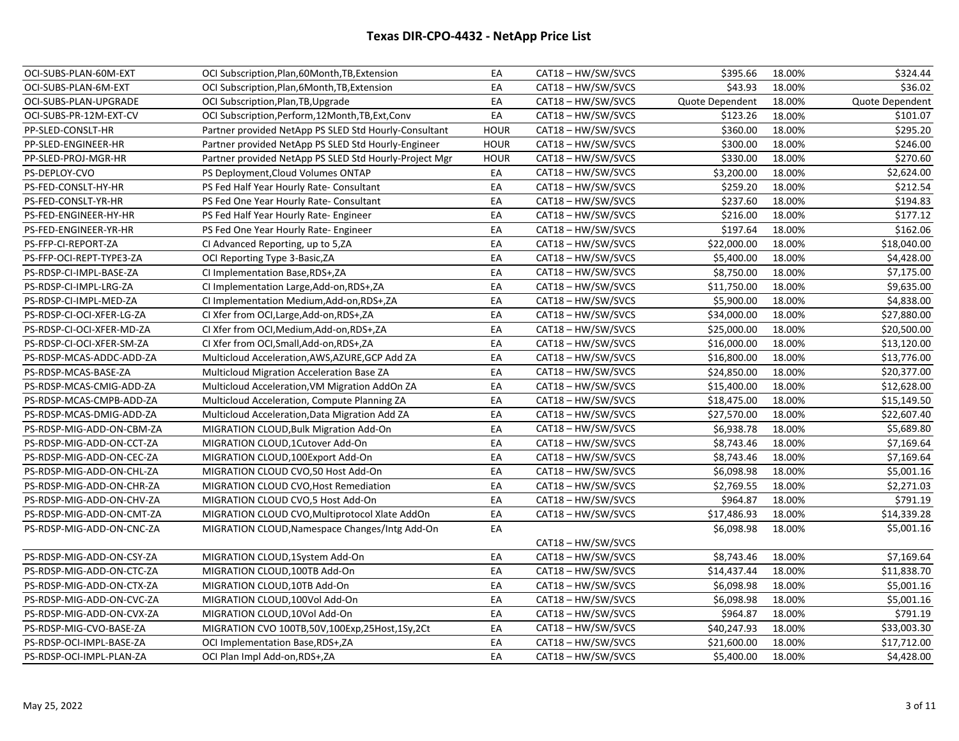| OCI-SUBS-PLAN-60M-EXT     | OCI Subscription, Plan, 60 Month, TB, Extension        | EA          | CAT18 - HW/SW/SVCS | \$395.66        | 18.00% | \$324.44        |
|---------------------------|--------------------------------------------------------|-------------|--------------------|-----------------|--------|-----------------|
| OCI-SUBS-PLAN-6M-EXT      | OCI Subscription, Plan, 6Month, TB, Extension          | EA          | CAT18 - HW/SW/SVCS | \$43.93         | 18.00% | \$36.02         |
| OCI-SUBS-PLAN-UPGRADE     | OCI Subscription, Plan, TB, Upgrade                    | EA          | CAT18-HW/SW/SVCS   | Quote Dependent | 18.00% | Quote Dependent |
| OCI-SUBS-PR-12M-EXT-CV    | OCI Subscription, Perform, 12Month, TB, Ext, Conv      | EA          | CAT18 - HW/SW/SVCS | \$123.26        | 18.00% | \$101.07        |
| PP-SLED-CONSLT-HR         | Partner provided NetApp PS SLED Std Hourly-Consultant  | <b>HOUR</b> | CAT18 - HW/SW/SVCS | \$360.00        | 18.00% | \$295.20        |
| PP-SLED-ENGINEER-HR       | Partner provided NetApp PS SLED Std Hourly-Engineer    | <b>HOUR</b> | CAT18 - HW/SW/SVCS | \$300.00        | 18.00% | \$246.00        |
| PP-SLED-PROJ-MGR-HR       | Partner provided NetApp PS SLED Std Hourly-Project Mgr | <b>HOUR</b> | CAT18 - HW/SW/SVCS | \$330.00        | 18.00% | \$270.60        |
| PS-DEPLOY-CVO             | PS Deployment, Cloud Volumes ONTAP                     | EA          | CAT18-HW/SW/SVCS   | \$3,200.00      | 18.00% | \$2,624.00      |
| PS-FED-CONSLT-HY-HR       | PS Fed Half Year Hourly Rate- Consultant               | EA          | CAT18 - HW/SW/SVCS | \$259.20        | 18.00% | \$212.54        |
| PS-FED-CONSLT-YR-HR       | PS Fed One Year Hourly Rate- Consultant                | EA          | CAT18 - HW/SW/SVCS | \$237.60        | 18.00% | \$194.83        |
| PS-FED-ENGINEER-HY-HR     | PS Fed Half Year Hourly Rate- Engineer                 | EA          | CAT18 - HW/SW/SVCS | \$216.00        | 18.00% | \$177.12        |
| PS-FED-ENGINEER-YR-HR     | PS Fed One Year Hourly Rate- Engineer                  | EA          | CAT18-HW/SW/SVCS   | \$197.64        | 18.00% | \$162.06        |
| PS-FFP-CI-REPORT-ZA       | CI Advanced Reporting, up to 5,2A                      | EA          | CAT18 - HW/SW/SVCS | \$22,000.00     | 18.00% | \$18,040.00     |
| PS-FFP-OCI-REPT-TYPE3-ZA  | OCI Reporting Type 3-Basic, ZA                         | EA          | CAT18 - HW/SW/SVCS | \$5,400.00      | 18.00% | \$4,428.00      |
| PS-RDSP-CI-IMPL-BASE-ZA   | CI Implementation Base, RDS+, ZA                       | EA          | CAT18 - HW/SW/SVCS | \$8,750.00      | 18.00% | \$7,175.00      |
| PS-RDSP-CI-IMPL-LRG-ZA    | CI Implementation Large, Add-on, RDS+, ZA              | EA          | CAT18 - HW/SW/SVCS | \$11,750.00     | 18.00% | \$9,635.00      |
| PS-RDSP-CI-IMPL-MED-ZA    | CI Implementation Medium, Add-on, RDS+, ZA             | EA          | CAT18 - HW/SW/SVCS | \$5,900.00      | 18.00% | \$4,838.00      |
| PS-RDSP-CI-OCI-XFER-LG-ZA | CI Xfer from OCI, Large, Add-on, RDS+, ZA              | EA          | CAT18 - HW/SW/SVCS | \$34,000.00     | 18.00% | \$27,880.00     |
| PS-RDSP-CI-OCI-XFER-MD-ZA | CI Xfer from OCI, Medium, Add-on, RDS+, ZA             | EA          | CAT18-HW/SW/SVCS   | \$25,000.00     | 18.00% | \$20,500.00     |
| PS-RDSP-CI-OCI-XFER-SM-ZA | CI Xfer from OCI, Small, Add-on, RDS+, ZA              | EA          | CAT18 - HW/SW/SVCS | \$16,000.00     | 18.00% | \$13,120.00     |
| PS-RDSP-MCAS-ADDC-ADD-ZA  | Multicloud Acceleration, AWS, AZURE, GCP Add ZA        | EA          | CAT18 - HW/SW/SVCS | \$16,800.00     | 18.00% | \$13,776.00     |
| PS-RDSP-MCAS-BASE-ZA      | <b>Multicloud Migration Acceleration Base ZA</b>       | EA          | CAT18 - HW/SW/SVCS | \$24,850.00     | 18.00% | \$20,377.00     |
| PS-RDSP-MCAS-CMIG-ADD-ZA  | Multicloud Acceleration, VM Migration AddOn ZA         | EA          | CAT18 - HW/SW/SVCS | \$15,400.00     | 18.00% | \$12,628.00     |
| PS-RDSP-MCAS-CMPB-ADD-ZA  | Multicloud Acceleration, Compute Planning ZA           | EA          | CAT18 - HW/SW/SVCS | \$18,475.00     | 18.00% | \$15,149.50     |
| PS-RDSP-MCAS-DMIG-ADD-ZA  | Multicloud Acceleration, Data Migration Add ZA         | EA          | CAT18-HW/SW/SVCS   | \$27,570.00     | 18.00% | \$22,607.40     |
| PS-RDSP-MIG-ADD-ON-CBM-ZA | MIGRATION CLOUD, Bulk Migration Add-On                 | EA          | CAT18 - HW/SW/SVCS | \$6,938.78      | 18.00% | \$5,689.80      |
| PS-RDSP-MIG-ADD-ON-CCT-ZA | MIGRATION CLOUD,1Cutover Add-On                        | EA          | CAT18 - HW/SW/SVCS | \$8,743.46      | 18.00% | \$7,169.64      |
| PS-RDSP-MIG-ADD-ON-CEC-ZA | MIGRATION CLOUD, 100Export Add-On                      | EA          | CAT18 - HW/SW/SVCS | \$8,743.46      | 18.00% | \$7,169.64      |
| PS-RDSP-MIG-ADD-ON-CHL-ZA | MIGRATION CLOUD CVO,50 Host Add-On                     | EA          | CAT18-HW/SW/SVCS   | \$6,098.98      | 18.00% | \$5,001.16      |
| PS-RDSP-MIG-ADD-ON-CHR-ZA | MIGRATION CLOUD CVO, Host Remediation                  | EA          | CAT18-HW/SW/SVCS   | \$2,769.55      | 18.00% | \$2,271.03      |
| PS-RDSP-MIG-ADD-ON-CHV-ZA | MIGRATION CLOUD CVO,5 Host Add-On                      | EA          | CAT18 - HW/SW/SVCS | \$964.87        | 18.00% | \$791.19        |
| PS-RDSP-MIG-ADD-ON-CMT-ZA | MIGRATION CLOUD CVO, Multiprotocol Xlate AddOn         | EA          | CAT18 - HW/SW/SVCS | \$17,486.93     | 18.00% | \$14,339.28     |
| PS-RDSP-MIG-ADD-ON-CNC-ZA | MIGRATION CLOUD, Namespace Changes/Intg Add-On         | EA          |                    | \$6,098.98      | 18.00% | \$5,001.16      |
|                           |                                                        |             | CAT18 - HW/SW/SVCS |                 |        |                 |
| PS-RDSP-MIG-ADD-ON-CSY-ZA | MIGRATION CLOUD,1System Add-On                         | EA          | CAT18 - HW/SW/SVCS | \$8,743.46      | 18.00% | \$7,169.64      |
| PS-RDSP-MIG-ADD-ON-CTC-ZA | MIGRATION CLOUD, 100TB Add-On                          | EA          | CAT18 - HW/SW/SVCS | \$14,437.44     | 18.00% | \$11,838.70     |
| PS-RDSP-MIG-ADD-ON-CTX-ZA | MIGRATION CLOUD, 10TB Add-On                           | EA          | CAT18 - HW/SW/SVCS | \$6,098.98      | 18.00% | \$5,001.16      |
| PS-RDSP-MIG-ADD-ON-CVC-ZA | MIGRATION CLOUD,100Vol Add-On                          | EA          | CAT18-HW/SW/SVCS   | \$6,098.98      | 18.00% | \$5,001.16      |
| PS-RDSP-MIG-ADD-ON-CVX-ZA | MIGRATION CLOUD,10Vol Add-On                           | EA          | CAT18 - HW/SW/SVCS | \$964.87        | 18.00% | \$791.19        |
| PS-RDSP-MIG-CVO-BASE-ZA   | MIGRATION CVO 100TB,50V,100Exp,25Host,1Sy,2Ct          | EA          | CAT18 - HW/SW/SVCS | \$40,247.93     | 18.00% | \$33,003.30     |
| PS-RDSP-OCI-IMPL-BASE-ZA  | OCI Implementation Base, RDS+, ZA                      | EA          | CAT18-HW/SW/SVCS   | \$21,600.00     | 18.00% | \$17,712.00     |
| PS-RDSP-OCI-IMPL-PLAN-ZA  | OCI Plan Impl Add-on, RDS+, ZA                         | EA          | CAT18-HW/SW/SVCS   | \$5,400.00      | 18.00% | \$4,428.00      |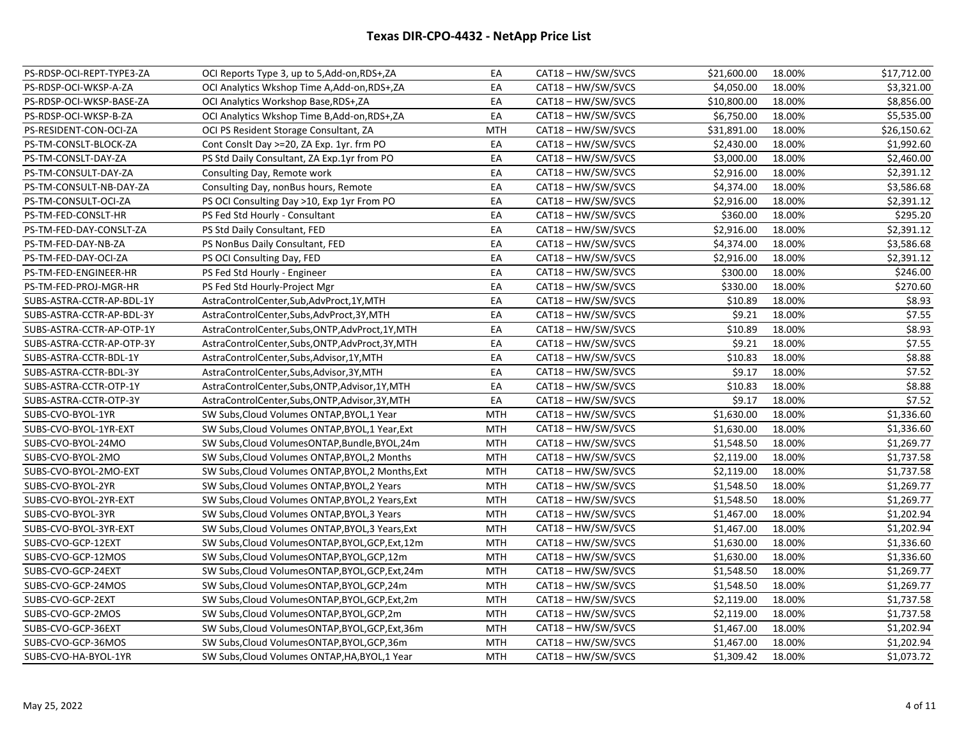| EA<br>CAT18 - HW/SW/SVCS<br>\$3,321.00<br>PS-RDSP-OCI-WKSP-A-ZA<br>OCI Analytics Wkshop Time A, Add-on, RDS+, ZA<br>\$4,050.00<br>18.00%<br>\$10,800.00<br>18.00%<br>\$8,856.00<br>PS-RDSP-OCI-WKSP-BASE-ZA<br>OCI Analytics Workshop Base, RDS+, ZA<br>EA<br>CAT18 - HW/SW/SVCS<br>PS-RDSP-OCI-WKSP-B-ZA<br>OCI Analytics Wkshop Time B, Add-on, RDS+, ZA<br>EA<br>CAT18 - HW/SW/SVCS<br>\$6,750.00<br>18.00%<br>\$5,535.00<br>CAT18 - HW/SW/SVCS<br>18.00%<br>\$26,150.62<br>PS-RESIDENT-CON-OCI-ZA<br>OCI PS Resident Storage Consultant, ZA<br><b>MTH</b><br>\$31,891.00<br>18.00%<br>\$1,992.60<br>PS-TM-CONSLT-BLOCK-ZA<br>Cont Conslt Day >=20, ZA Exp. 1yr. frm PO<br>EA<br>\$2,430.00<br>CAT18 - HW/SW/SVCS<br>PS-TM-CONSLT-DAY-ZA<br>PS Std Daily Consultant, ZA Exp.1yr from PO<br>EA<br>CAT18 - HW/SW/SVCS<br>\$3,000.00<br>18.00%<br>\$2,460.00<br>18.00%<br>PS-TM-CONSULT-DAY-ZA<br>Consulting Day, Remote work<br>EA<br>CAT18 - HW/SW/SVCS<br>\$2,916.00<br>\$2,391.12<br>EA<br>18.00%<br>\$3,586.68<br>PS-TM-CONSULT-NB-DAY-ZA<br>Consulting Day, nonBus hours, Remote<br>CAT18 - HW/SW/SVCS<br>\$4,374.00<br>EA<br>18.00%<br>\$2,391.12<br>PS-TM-CONSULT-OCI-ZA<br>PS OCI Consulting Day >10, Exp 1yr From PO<br>CAT18 - HW/SW/SVCS<br>\$2,916.00<br>EA<br>CAT18 - HW/SW/SVCS<br>\$360.00<br>18.00%<br>\$295.20<br>PS-TM-FED-CONSLT-HR<br>PS Fed Std Hourly - Consultant<br>PS-TM-FED-DAY-CONSLT-ZA<br>EA<br>CAT18 - HW/SW/SVCS<br>\$2,916.00<br>18.00%<br>\$2,391.12<br>PS Std Daily Consultant, FED<br>\$3,586.68<br>EA<br>CAT18 - HW/SW/SVCS<br>\$4,374.00<br>18.00%<br>PS-TM-FED-DAY-NB-ZA<br>PS NonBus Daily Consultant, FED<br>EA<br>CAT18 - HW/SW/SVCS<br>\$2,916.00<br>18.00%<br>\$2,391.12<br>PS-TM-FED-DAY-OCI-ZA<br>PS OCI Consulting Day, FED<br>EA<br>\$300.00<br>18.00%<br>\$246.00<br>PS-TM-FED-ENGINEER-HR<br>PS Fed Std Hourly - Engineer<br>CAT18 - HW/SW/SVCS<br>\$270.60<br>PS-TM-FED-PROJ-MGR-HR<br>EA<br>CAT18 - HW/SW/SVCS<br>\$330.00<br>18.00%<br>PS Fed Std Hourly-Project Mgr<br>\$10.89<br>18.00%<br>\$8.93<br>SUBS-ASTRA-CCTR-AP-BDL-1Y<br>AstraControlCenter,Sub,AdvProct,1Y,MTH<br>EA<br>CAT18 - HW/SW/SVCS<br>\$7.55<br>CAT18 - HW/SW/SVCS<br>SUBS-ASTRA-CCTR-AP-BDL-3Y<br>AstraControlCenter,Subs,AdvProct,3Y,MTH<br>EA<br>\$9.21<br>18.00%<br>18.00%<br>\$8.93<br>EA<br>\$10.89<br>SUBS-ASTRA-CCTR-AP-OTP-1Y<br>AstraControlCenter,Subs,ONTP,AdvProct,1Y,MTH<br>CAT18 - HW/SW/SVCS<br>\$7.55<br>EA<br>18.00%<br>SUBS-ASTRA-CCTR-AP-OTP-3Y<br>CAT18 - HW/SW/SVCS<br>\$9.21<br>AstraControlCenter,Subs,ONTP,AdvProct,3Y,MTH<br>\$8.88<br>EA<br>CAT18 - HW/SW/SVCS<br>18.00%<br>SUBS-ASTRA-CCTR-BDL-1Y<br>AstraControlCenter,Subs,Advisor,1Y,MTH<br>\$10.83<br>18.00%<br>\$7.52<br>SUBS-ASTRA-CCTR-BDL-3Y<br>AstraControlCenter,Subs,Advisor,3Y,MTH<br>EA<br>CAT18 - HW/SW/SVCS<br>\$9.17<br>EA<br>18.00%<br>\$8.88<br>SUBS-ASTRA-CCTR-OTP-1Y<br>AstraControlCenter,Subs,ONTP,Advisor,1Y,MTH<br>CAT18 - HW/SW/SVCS<br>\$10.83<br>\$7.52<br>EA<br>CAT18 - HW/SW/SVCS<br>\$9.17<br>18.00%<br>SUBS-ASTRA-CCTR-OTP-3Y<br>AstraControlCenter,Subs,ONTP,Advisor,3Y,MTH<br>18.00%<br>\$1,336.60<br>SUBS-CVO-BYOL-1YR<br>SW Subs, Cloud Volumes ONTAP, BYOL, 1 Year<br><b>MTH</b><br>CAT18 - HW/SW/SVCS<br>\$1,630.00<br>18.00%<br>SUBS-CVO-BYOL-1YR-EXT<br>SW Subs, Cloud Volumes ONTAP, BYOL, 1 Year, Ext<br><b>MTH</b><br>CAT18 - HW/SW/SVCS<br>\$1,630.00<br>\$1,336.60<br>18.00%<br>\$1,269.77<br><b>MTH</b><br>\$1,548.50<br>SUBS-CVO-BYOL-24MO<br>SW Subs, Cloud Volumes ONTAP, Bundle, BYOL, 24m<br>CAT18 - HW/SW/SVCS<br>\$2,119.00<br>18.00%<br>\$1,737.58<br>SUBS-CVO-BYOL-2MO<br>SW Subs, Cloud Volumes ONTAP, BYOL, 2 Months<br><b>MTH</b><br>CAT18 - HW/SW/SVCS<br>\$1,737.58<br>CAT18 - HW/SW/SVCS<br>SUBS-CVO-BYOL-2MO-EXT<br>SW Subs, Cloud Volumes ONTAP, BYOL, 2 Months, Ext<br>\$2,119.00<br>18.00%<br><b>MTH</b><br>SUBS-CVO-BYOL-2YR<br>SW Subs, Cloud Volumes ONTAP, BYOL, 2 Years<br>CAT18 - HW/SW/SVCS<br>\$1,548.50<br>18.00%<br>\$1,269.77<br><b>MTH</b><br>18.00%<br>SUBS-CVO-BYOL-2YR-EXT<br>SW Subs, Cloud Volumes ONTAP, BYOL, 2 Years, Ext<br><b>MTH</b><br>CAT18 - HW/SW/SVCS<br>\$1,548.50<br>\$1,269.77<br>\$1,202.94<br>CAT18 - HW/SW/SVCS<br>18.00%<br>SUBS-CVO-BYOL-3YR<br>SW Subs, Cloud Volumes ONTAP, BYOL, 3 Years<br><b>MTH</b><br>\$1,467.00<br>SUBS-CVO-BYOL-3YR-EXT<br>SW Subs, Cloud Volumes ONTAP, BYOL, 3 Years, Ext<br><b>MTH</b><br>CAT18 - HW/SW/SVCS<br>\$1,467.00<br>18.00%<br>\$1,202.94<br>SUBS-CVO-GCP-12EXT<br>SW Subs, Cloud Volumes ONTAP, BYOL, GCP, Ext, 12m<br><b>MTH</b><br>CAT18-HW/SW/SVCS<br>\$1,630.00<br>18.00%<br>\$1,336.60<br>CAT18 - HW/SW/SVCS<br>18.00%<br>\$1,336.60<br>SUBS-CVO-GCP-12MOS<br>SW Subs, Cloud Volumes ONTAP, BYOL, GCP, 12m<br><b>MTH</b><br>\$1,630.00<br>18.00%<br>\$1,269.77<br>SUBS-CVO-GCP-24EXT<br>SW Subs, Cloud Volumes ONTAP, BYOL, GCP, Ext, 24m<br>MTH<br>CAT18 - HW/SW/SVCS<br>\$1,548.50<br>CAT18-HW/SW/SVCS<br>\$1,548.50<br>18.00%<br>\$1,269.77<br>SUBS-CVO-GCP-24MOS<br>SW Subs, Cloud Volumes ONTAP, BYOL, GCP, 24m<br><b>MTH</b><br>SUBS-CVO-GCP-2EXT<br>CAT18-HW/SW/SVCS<br>\$2,119.00<br>18.00%<br>\$1,737.58<br>SW Subs, Cloud Volumes ONTAP, BYOL, GCP, Ext, 2m<br><b>MTH</b><br>\$2,119.00<br>18.00%<br>\$1,737.58<br>SUBS-CVO-GCP-2MOS<br>SW Subs, Cloud Volumes ONTAP, BYOL, GCP, 2m<br><b>MTH</b><br>CAT18 - HW/SW/SVCS<br>CAT18 - HW/SW/SVCS<br>\$1,202.94<br>SUBS-CVO-GCP-36EXT<br>SW Subs, Cloud Volumes ONTAP, BYOL, GCP, Ext, 36m<br><b>MTH</b><br>\$1,467.00<br>18.00%<br>\$1,467.00<br>18.00%<br>\$1,202.94<br>SUBS-CVO-GCP-36MOS<br>SW Subs, Cloud Volumes ONTAP, BYOL, GCP, 36m<br><b>MTH</b><br>CAT18 - HW/SW/SVCS<br>CAT18 - HW/SW/SVCS<br>\$1,309.42<br>18.00%<br>\$1,073.72<br>SUBS-CVO-HA-BYOL-1YR<br>SW Subs, Cloud Volumes ONTAP, HA, BYOL, 1 Year<br><b>MTH</b> | PS-RDSP-OCI-REPT-TYPE3-ZA | OCI Reports Type 3, up to 5,Add-on,RDS+,ZA | EA | CAT18 - HW/SW/SVCS | \$21,600.00 | 18.00% | \$17,712.00 |
|------------------------------------------------------------------------------------------------------------------------------------------------------------------------------------------------------------------------------------------------------------------------------------------------------------------------------------------------------------------------------------------------------------------------------------------------------------------------------------------------------------------------------------------------------------------------------------------------------------------------------------------------------------------------------------------------------------------------------------------------------------------------------------------------------------------------------------------------------------------------------------------------------------------------------------------------------------------------------------------------------------------------------------------------------------------------------------------------------------------------------------------------------------------------------------------------------------------------------------------------------------------------------------------------------------------------------------------------------------------------------------------------------------------------------------------------------------------------------------------------------------------------------------------------------------------------------------------------------------------------------------------------------------------------------------------------------------------------------------------------------------------------------------------------------------------------------------------------------------------------------------------------------------------------------------------------------------------------------------------------------------------------------------------------------------------------------------------------------------------------------------------------------------------------------------------------------------------------------------------------------------------------------------------------------------------------------------------------------------------------------------------------------------------------------------------------------------------------------------------------------------------------------------------------------------------------------------------------------------------------------------------------------------------------------------------------------------------------------------------------------------------------------------------------------------------------------------------------------------------------------------------------------------------------------------------------------------------------------------------------------------------------------------------------------------------------------------------------------------------------------------------------------------------------------------------------------------------------------------------------------------------------------------------------------------------------------------------------------------------------------------------------------------------------------------------------------------------------------------------------------------------------------------------------------------------------------------------------------------------------------------------------------------------------------------------------------------------------------------------------------------------------------------------------------------------------------------------------------------------------------------------------------------------------------------------------------------------------------------------------------------------------------------------------------------------------------------------------------------------------------------------------------------------------------------------------------------------------------------------------------------------------------------------------------------------------------------------------------------------------------------------------------------------------------------------------------------------------------------------------------------------------------------------------------------------------------------------------------------------------------------------------------------------------------------------------------------------------------------------------------------------------------------------------------------------------------------------------------------------------------------------------------------------------------------------------------------------------------------------------------------------------------------------------------------------------------------------------------------------------------------------------------------------------------------------------------------------------------------------------------------------------------------------------------------------------------------------------------------------------------------------------------------------------------------------------------------------------------------------------------------------------------------------------------------------------------------------------------------------------------------------------------------------------------------------------------------------------------------------------------------------------------------------------------------------------------------------------|---------------------------|--------------------------------------------|----|--------------------|-------------|--------|-------------|
|                                                                                                                                                                                                                                                                                                                                                                                                                                                                                                                                                                                                                                                                                                                                                                                                                                                                                                                                                                                                                                                                                                                                                                                                                                                                                                                                                                                                                                                                                                                                                                                                                                                                                                                                                                                                                                                                                                                                                                                                                                                                                                                                                                                                                                                                                                                                                                                                                                                                                                                                                                                                                                                                                                                                                                                                                                                                                                                                                                                                                                                                                                                                                                                                                                                                                                                                                                                                                                                                                                                                                                                                                                                                                                                                                                                                                                                                                                                                                                                                                                                                                                                                                                                                                                                                                                                                                                                                                                                                                                                                                                                                                                                                                                                                                                                                                                                                                                                                                                                                                                                                                                                                                                                                                                                                                                                                                                                                                                                                                                                                                                                                                                                                                                                                                                                                                                                |                           |                                            |    |                    |             |        |             |
|                                                                                                                                                                                                                                                                                                                                                                                                                                                                                                                                                                                                                                                                                                                                                                                                                                                                                                                                                                                                                                                                                                                                                                                                                                                                                                                                                                                                                                                                                                                                                                                                                                                                                                                                                                                                                                                                                                                                                                                                                                                                                                                                                                                                                                                                                                                                                                                                                                                                                                                                                                                                                                                                                                                                                                                                                                                                                                                                                                                                                                                                                                                                                                                                                                                                                                                                                                                                                                                                                                                                                                                                                                                                                                                                                                                                                                                                                                                                                                                                                                                                                                                                                                                                                                                                                                                                                                                                                                                                                                                                                                                                                                                                                                                                                                                                                                                                                                                                                                                                                                                                                                                                                                                                                                                                                                                                                                                                                                                                                                                                                                                                                                                                                                                                                                                                                                                |                           |                                            |    |                    |             |        |             |
|                                                                                                                                                                                                                                                                                                                                                                                                                                                                                                                                                                                                                                                                                                                                                                                                                                                                                                                                                                                                                                                                                                                                                                                                                                                                                                                                                                                                                                                                                                                                                                                                                                                                                                                                                                                                                                                                                                                                                                                                                                                                                                                                                                                                                                                                                                                                                                                                                                                                                                                                                                                                                                                                                                                                                                                                                                                                                                                                                                                                                                                                                                                                                                                                                                                                                                                                                                                                                                                                                                                                                                                                                                                                                                                                                                                                                                                                                                                                                                                                                                                                                                                                                                                                                                                                                                                                                                                                                                                                                                                                                                                                                                                                                                                                                                                                                                                                                                                                                                                                                                                                                                                                                                                                                                                                                                                                                                                                                                                                                                                                                                                                                                                                                                                                                                                                                                                |                           |                                            |    |                    |             |        |             |
|                                                                                                                                                                                                                                                                                                                                                                                                                                                                                                                                                                                                                                                                                                                                                                                                                                                                                                                                                                                                                                                                                                                                                                                                                                                                                                                                                                                                                                                                                                                                                                                                                                                                                                                                                                                                                                                                                                                                                                                                                                                                                                                                                                                                                                                                                                                                                                                                                                                                                                                                                                                                                                                                                                                                                                                                                                                                                                                                                                                                                                                                                                                                                                                                                                                                                                                                                                                                                                                                                                                                                                                                                                                                                                                                                                                                                                                                                                                                                                                                                                                                                                                                                                                                                                                                                                                                                                                                                                                                                                                                                                                                                                                                                                                                                                                                                                                                                                                                                                                                                                                                                                                                                                                                                                                                                                                                                                                                                                                                                                                                                                                                                                                                                                                                                                                                                                                |                           |                                            |    |                    |             |        |             |
|                                                                                                                                                                                                                                                                                                                                                                                                                                                                                                                                                                                                                                                                                                                                                                                                                                                                                                                                                                                                                                                                                                                                                                                                                                                                                                                                                                                                                                                                                                                                                                                                                                                                                                                                                                                                                                                                                                                                                                                                                                                                                                                                                                                                                                                                                                                                                                                                                                                                                                                                                                                                                                                                                                                                                                                                                                                                                                                                                                                                                                                                                                                                                                                                                                                                                                                                                                                                                                                                                                                                                                                                                                                                                                                                                                                                                                                                                                                                                                                                                                                                                                                                                                                                                                                                                                                                                                                                                                                                                                                                                                                                                                                                                                                                                                                                                                                                                                                                                                                                                                                                                                                                                                                                                                                                                                                                                                                                                                                                                                                                                                                                                                                                                                                                                                                                                                                |                           |                                            |    |                    |             |        |             |
|                                                                                                                                                                                                                                                                                                                                                                                                                                                                                                                                                                                                                                                                                                                                                                                                                                                                                                                                                                                                                                                                                                                                                                                                                                                                                                                                                                                                                                                                                                                                                                                                                                                                                                                                                                                                                                                                                                                                                                                                                                                                                                                                                                                                                                                                                                                                                                                                                                                                                                                                                                                                                                                                                                                                                                                                                                                                                                                                                                                                                                                                                                                                                                                                                                                                                                                                                                                                                                                                                                                                                                                                                                                                                                                                                                                                                                                                                                                                                                                                                                                                                                                                                                                                                                                                                                                                                                                                                                                                                                                                                                                                                                                                                                                                                                                                                                                                                                                                                                                                                                                                                                                                                                                                                                                                                                                                                                                                                                                                                                                                                                                                                                                                                                                                                                                                                                                |                           |                                            |    |                    |             |        |             |
|                                                                                                                                                                                                                                                                                                                                                                                                                                                                                                                                                                                                                                                                                                                                                                                                                                                                                                                                                                                                                                                                                                                                                                                                                                                                                                                                                                                                                                                                                                                                                                                                                                                                                                                                                                                                                                                                                                                                                                                                                                                                                                                                                                                                                                                                                                                                                                                                                                                                                                                                                                                                                                                                                                                                                                                                                                                                                                                                                                                                                                                                                                                                                                                                                                                                                                                                                                                                                                                                                                                                                                                                                                                                                                                                                                                                                                                                                                                                                                                                                                                                                                                                                                                                                                                                                                                                                                                                                                                                                                                                                                                                                                                                                                                                                                                                                                                                                                                                                                                                                                                                                                                                                                                                                                                                                                                                                                                                                                                                                                                                                                                                                                                                                                                                                                                                                                                |                           |                                            |    |                    |             |        |             |
|                                                                                                                                                                                                                                                                                                                                                                                                                                                                                                                                                                                                                                                                                                                                                                                                                                                                                                                                                                                                                                                                                                                                                                                                                                                                                                                                                                                                                                                                                                                                                                                                                                                                                                                                                                                                                                                                                                                                                                                                                                                                                                                                                                                                                                                                                                                                                                                                                                                                                                                                                                                                                                                                                                                                                                                                                                                                                                                                                                                                                                                                                                                                                                                                                                                                                                                                                                                                                                                                                                                                                                                                                                                                                                                                                                                                                                                                                                                                                                                                                                                                                                                                                                                                                                                                                                                                                                                                                                                                                                                                                                                                                                                                                                                                                                                                                                                                                                                                                                                                                                                                                                                                                                                                                                                                                                                                                                                                                                                                                                                                                                                                                                                                                                                                                                                                                                                |                           |                                            |    |                    |             |        |             |
|                                                                                                                                                                                                                                                                                                                                                                                                                                                                                                                                                                                                                                                                                                                                                                                                                                                                                                                                                                                                                                                                                                                                                                                                                                                                                                                                                                                                                                                                                                                                                                                                                                                                                                                                                                                                                                                                                                                                                                                                                                                                                                                                                                                                                                                                                                                                                                                                                                                                                                                                                                                                                                                                                                                                                                                                                                                                                                                                                                                                                                                                                                                                                                                                                                                                                                                                                                                                                                                                                                                                                                                                                                                                                                                                                                                                                                                                                                                                                                                                                                                                                                                                                                                                                                                                                                                                                                                                                                                                                                                                                                                                                                                                                                                                                                                                                                                                                                                                                                                                                                                                                                                                                                                                                                                                                                                                                                                                                                                                                                                                                                                                                                                                                                                                                                                                                                                |                           |                                            |    |                    |             |        |             |
|                                                                                                                                                                                                                                                                                                                                                                                                                                                                                                                                                                                                                                                                                                                                                                                                                                                                                                                                                                                                                                                                                                                                                                                                                                                                                                                                                                                                                                                                                                                                                                                                                                                                                                                                                                                                                                                                                                                                                                                                                                                                                                                                                                                                                                                                                                                                                                                                                                                                                                                                                                                                                                                                                                                                                                                                                                                                                                                                                                                                                                                                                                                                                                                                                                                                                                                                                                                                                                                                                                                                                                                                                                                                                                                                                                                                                                                                                                                                                                                                                                                                                                                                                                                                                                                                                                                                                                                                                                                                                                                                                                                                                                                                                                                                                                                                                                                                                                                                                                                                                                                                                                                                                                                                                                                                                                                                                                                                                                                                                                                                                                                                                                                                                                                                                                                                                                                |                           |                                            |    |                    |             |        |             |
|                                                                                                                                                                                                                                                                                                                                                                                                                                                                                                                                                                                                                                                                                                                                                                                                                                                                                                                                                                                                                                                                                                                                                                                                                                                                                                                                                                                                                                                                                                                                                                                                                                                                                                                                                                                                                                                                                                                                                                                                                                                                                                                                                                                                                                                                                                                                                                                                                                                                                                                                                                                                                                                                                                                                                                                                                                                                                                                                                                                                                                                                                                                                                                                                                                                                                                                                                                                                                                                                                                                                                                                                                                                                                                                                                                                                                                                                                                                                                                                                                                                                                                                                                                                                                                                                                                                                                                                                                                                                                                                                                                                                                                                                                                                                                                                                                                                                                                                                                                                                                                                                                                                                                                                                                                                                                                                                                                                                                                                                                                                                                                                                                                                                                                                                                                                                                                                |                           |                                            |    |                    |             |        |             |
|                                                                                                                                                                                                                                                                                                                                                                                                                                                                                                                                                                                                                                                                                                                                                                                                                                                                                                                                                                                                                                                                                                                                                                                                                                                                                                                                                                                                                                                                                                                                                                                                                                                                                                                                                                                                                                                                                                                                                                                                                                                                                                                                                                                                                                                                                                                                                                                                                                                                                                                                                                                                                                                                                                                                                                                                                                                                                                                                                                                                                                                                                                                                                                                                                                                                                                                                                                                                                                                                                                                                                                                                                                                                                                                                                                                                                                                                                                                                                                                                                                                                                                                                                                                                                                                                                                                                                                                                                                                                                                                                                                                                                                                                                                                                                                                                                                                                                                                                                                                                                                                                                                                                                                                                                                                                                                                                                                                                                                                                                                                                                                                                                                                                                                                                                                                                                                                |                           |                                            |    |                    |             |        |             |
|                                                                                                                                                                                                                                                                                                                                                                                                                                                                                                                                                                                                                                                                                                                                                                                                                                                                                                                                                                                                                                                                                                                                                                                                                                                                                                                                                                                                                                                                                                                                                                                                                                                                                                                                                                                                                                                                                                                                                                                                                                                                                                                                                                                                                                                                                                                                                                                                                                                                                                                                                                                                                                                                                                                                                                                                                                                                                                                                                                                                                                                                                                                                                                                                                                                                                                                                                                                                                                                                                                                                                                                                                                                                                                                                                                                                                                                                                                                                                                                                                                                                                                                                                                                                                                                                                                                                                                                                                                                                                                                                                                                                                                                                                                                                                                                                                                                                                                                                                                                                                                                                                                                                                                                                                                                                                                                                                                                                                                                                                                                                                                                                                                                                                                                                                                                                                                                |                           |                                            |    |                    |             |        |             |
|                                                                                                                                                                                                                                                                                                                                                                                                                                                                                                                                                                                                                                                                                                                                                                                                                                                                                                                                                                                                                                                                                                                                                                                                                                                                                                                                                                                                                                                                                                                                                                                                                                                                                                                                                                                                                                                                                                                                                                                                                                                                                                                                                                                                                                                                                                                                                                                                                                                                                                                                                                                                                                                                                                                                                                                                                                                                                                                                                                                                                                                                                                                                                                                                                                                                                                                                                                                                                                                                                                                                                                                                                                                                                                                                                                                                                                                                                                                                                                                                                                                                                                                                                                                                                                                                                                                                                                                                                                                                                                                                                                                                                                                                                                                                                                                                                                                                                                                                                                                                                                                                                                                                                                                                                                                                                                                                                                                                                                                                                                                                                                                                                                                                                                                                                                                                                                                |                           |                                            |    |                    |             |        |             |
|                                                                                                                                                                                                                                                                                                                                                                                                                                                                                                                                                                                                                                                                                                                                                                                                                                                                                                                                                                                                                                                                                                                                                                                                                                                                                                                                                                                                                                                                                                                                                                                                                                                                                                                                                                                                                                                                                                                                                                                                                                                                                                                                                                                                                                                                                                                                                                                                                                                                                                                                                                                                                                                                                                                                                                                                                                                                                                                                                                                                                                                                                                                                                                                                                                                                                                                                                                                                                                                                                                                                                                                                                                                                                                                                                                                                                                                                                                                                                                                                                                                                                                                                                                                                                                                                                                                                                                                                                                                                                                                                                                                                                                                                                                                                                                                                                                                                                                                                                                                                                                                                                                                                                                                                                                                                                                                                                                                                                                                                                                                                                                                                                                                                                                                                                                                                                                                |                           |                                            |    |                    |             |        |             |
|                                                                                                                                                                                                                                                                                                                                                                                                                                                                                                                                                                                                                                                                                                                                                                                                                                                                                                                                                                                                                                                                                                                                                                                                                                                                                                                                                                                                                                                                                                                                                                                                                                                                                                                                                                                                                                                                                                                                                                                                                                                                                                                                                                                                                                                                                                                                                                                                                                                                                                                                                                                                                                                                                                                                                                                                                                                                                                                                                                                                                                                                                                                                                                                                                                                                                                                                                                                                                                                                                                                                                                                                                                                                                                                                                                                                                                                                                                                                                                                                                                                                                                                                                                                                                                                                                                                                                                                                                                                                                                                                                                                                                                                                                                                                                                                                                                                                                                                                                                                                                                                                                                                                                                                                                                                                                                                                                                                                                                                                                                                                                                                                                                                                                                                                                                                                                                                |                           |                                            |    |                    |             |        |             |
|                                                                                                                                                                                                                                                                                                                                                                                                                                                                                                                                                                                                                                                                                                                                                                                                                                                                                                                                                                                                                                                                                                                                                                                                                                                                                                                                                                                                                                                                                                                                                                                                                                                                                                                                                                                                                                                                                                                                                                                                                                                                                                                                                                                                                                                                                                                                                                                                                                                                                                                                                                                                                                                                                                                                                                                                                                                                                                                                                                                                                                                                                                                                                                                                                                                                                                                                                                                                                                                                                                                                                                                                                                                                                                                                                                                                                                                                                                                                                                                                                                                                                                                                                                                                                                                                                                                                                                                                                                                                                                                                                                                                                                                                                                                                                                                                                                                                                                                                                                                                                                                                                                                                                                                                                                                                                                                                                                                                                                                                                                                                                                                                                                                                                                                                                                                                                                                |                           |                                            |    |                    |             |        |             |
|                                                                                                                                                                                                                                                                                                                                                                                                                                                                                                                                                                                                                                                                                                                                                                                                                                                                                                                                                                                                                                                                                                                                                                                                                                                                                                                                                                                                                                                                                                                                                                                                                                                                                                                                                                                                                                                                                                                                                                                                                                                                                                                                                                                                                                                                                                                                                                                                                                                                                                                                                                                                                                                                                                                                                                                                                                                                                                                                                                                                                                                                                                                                                                                                                                                                                                                                                                                                                                                                                                                                                                                                                                                                                                                                                                                                                                                                                                                                                                                                                                                                                                                                                                                                                                                                                                                                                                                                                                                                                                                                                                                                                                                                                                                                                                                                                                                                                                                                                                                                                                                                                                                                                                                                                                                                                                                                                                                                                                                                                                                                                                                                                                                                                                                                                                                                                                                |                           |                                            |    |                    |             |        |             |
|                                                                                                                                                                                                                                                                                                                                                                                                                                                                                                                                                                                                                                                                                                                                                                                                                                                                                                                                                                                                                                                                                                                                                                                                                                                                                                                                                                                                                                                                                                                                                                                                                                                                                                                                                                                                                                                                                                                                                                                                                                                                                                                                                                                                                                                                                                                                                                                                                                                                                                                                                                                                                                                                                                                                                                                                                                                                                                                                                                                                                                                                                                                                                                                                                                                                                                                                                                                                                                                                                                                                                                                                                                                                                                                                                                                                                                                                                                                                                                                                                                                                                                                                                                                                                                                                                                                                                                                                                                                                                                                                                                                                                                                                                                                                                                                                                                                                                                                                                                                                                                                                                                                                                                                                                                                                                                                                                                                                                                                                                                                                                                                                                                                                                                                                                                                                                                                |                           |                                            |    |                    |             |        |             |
|                                                                                                                                                                                                                                                                                                                                                                                                                                                                                                                                                                                                                                                                                                                                                                                                                                                                                                                                                                                                                                                                                                                                                                                                                                                                                                                                                                                                                                                                                                                                                                                                                                                                                                                                                                                                                                                                                                                                                                                                                                                                                                                                                                                                                                                                                                                                                                                                                                                                                                                                                                                                                                                                                                                                                                                                                                                                                                                                                                                                                                                                                                                                                                                                                                                                                                                                                                                                                                                                                                                                                                                                                                                                                                                                                                                                                                                                                                                                                                                                                                                                                                                                                                                                                                                                                                                                                                                                                                                                                                                                                                                                                                                                                                                                                                                                                                                                                                                                                                                                                                                                                                                                                                                                                                                                                                                                                                                                                                                                                                                                                                                                                                                                                                                                                                                                                                                |                           |                                            |    |                    |             |        |             |
|                                                                                                                                                                                                                                                                                                                                                                                                                                                                                                                                                                                                                                                                                                                                                                                                                                                                                                                                                                                                                                                                                                                                                                                                                                                                                                                                                                                                                                                                                                                                                                                                                                                                                                                                                                                                                                                                                                                                                                                                                                                                                                                                                                                                                                                                                                                                                                                                                                                                                                                                                                                                                                                                                                                                                                                                                                                                                                                                                                                                                                                                                                                                                                                                                                                                                                                                                                                                                                                                                                                                                                                                                                                                                                                                                                                                                                                                                                                                                                                                                                                                                                                                                                                                                                                                                                                                                                                                                                                                                                                                                                                                                                                                                                                                                                                                                                                                                                                                                                                                                                                                                                                                                                                                                                                                                                                                                                                                                                                                                                                                                                                                                                                                                                                                                                                                                                                |                           |                                            |    |                    |             |        |             |
|                                                                                                                                                                                                                                                                                                                                                                                                                                                                                                                                                                                                                                                                                                                                                                                                                                                                                                                                                                                                                                                                                                                                                                                                                                                                                                                                                                                                                                                                                                                                                                                                                                                                                                                                                                                                                                                                                                                                                                                                                                                                                                                                                                                                                                                                                                                                                                                                                                                                                                                                                                                                                                                                                                                                                                                                                                                                                                                                                                                                                                                                                                                                                                                                                                                                                                                                                                                                                                                                                                                                                                                                                                                                                                                                                                                                                                                                                                                                                                                                                                                                                                                                                                                                                                                                                                                                                                                                                                                                                                                                                                                                                                                                                                                                                                                                                                                                                                                                                                                                                                                                                                                                                                                                                                                                                                                                                                                                                                                                                                                                                                                                                                                                                                                                                                                                                                                |                           |                                            |    |                    |             |        |             |
|                                                                                                                                                                                                                                                                                                                                                                                                                                                                                                                                                                                                                                                                                                                                                                                                                                                                                                                                                                                                                                                                                                                                                                                                                                                                                                                                                                                                                                                                                                                                                                                                                                                                                                                                                                                                                                                                                                                                                                                                                                                                                                                                                                                                                                                                                                                                                                                                                                                                                                                                                                                                                                                                                                                                                                                                                                                                                                                                                                                                                                                                                                                                                                                                                                                                                                                                                                                                                                                                                                                                                                                                                                                                                                                                                                                                                                                                                                                                                                                                                                                                                                                                                                                                                                                                                                                                                                                                                                                                                                                                                                                                                                                                                                                                                                                                                                                                                                                                                                                                                                                                                                                                                                                                                                                                                                                                                                                                                                                                                                                                                                                                                                                                                                                                                                                                                                                |                           |                                            |    |                    |             |        |             |
|                                                                                                                                                                                                                                                                                                                                                                                                                                                                                                                                                                                                                                                                                                                                                                                                                                                                                                                                                                                                                                                                                                                                                                                                                                                                                                                                                                                                                                                                                                                                                                                                                                                                                                                                                                                                                                                                                                                                                                                                                                                                                                                                                                                                                                                                                                                                                                                                                                                                                                                                                                                                                                                                                                                                                                                                                                                                                                                                                                                                                                                                                                                                                                                                                                                                                                                                                                                                                                                                                                                                                                                                                                                                                                                                                                                                                                                                                                                                                                                                                                                                                                                                                                                                                                                                                                                                                                                                                                                                                                                                                                                                                                                                                                                                                                                                                                                                                                                                                                                                                                                                                                                                                                                                                                                                                                                                                                                                                                                                                                                                                                                                                                                                                                                                                                                                                                                |                           |                                            |    |                    |             |        |             |
|                                                                                                                                                                                                                                                                                                                                                                                                                                                                                                                                                                                                                                                                                                                                                                                                                                                                                                                                                                                                                                                                                                                                                                                                                                                                                                                                                                                                                                                                                                                                                                                                                                                                                                                                                                                                                                                                                                                                                                                                                                                                                                                                                                                                                                                                                                                                                                                                                                                                                                                                                                                                                                                                                                                                                                                                                                                                                                                                                                                                                                                                                                                                                                                                                                                                                                                                                                                                                                                                                                                                                                                                                                                                                                                                                                                                                                                                                                                                                                                                                                                                                                                                                                                                                                                                                                                                                                                                                                                                                                                                                                                                                                                                                                                                                                                                                                                                                                                                                                                                                                                                                                                                                                                                                                                                                                                                                                                                                                                                                                                                                                                                                                                                                                                                                                                                                                                |                           |                                            |    |                    |             |        |             |
|                                                                                                                                                                                                                                                                                                                                                                                                                                                                                                                                                                                                                                                                                                                                                                                                                                                                                                                                                                                                                                                                                                                                                                                                                                                                                                                                                                                                                                                                                                                                                                                                                                                                                                                                                                                                                                                                                                                                                                                                                                                                                                                                                                                                                                                                                                                                                                                                                                                                                                                                                                                                                                                                                                                                                                                                                                                                                                                                                                                                                                                                                                                                                                                                                                                                                                                                                                                                                                                                                                                                                                                                                                                                                                                                                                                                                                                                                                                                                                                                                                                                                                                                                                                                                                                                                                                                                                                                                                                                                                                                                                                                                                                                                                                                                                                                                                                                                                                                                                                                                                                                                                                                                                                                                                                                                                                                                                                                                                                                                                                                                                                                                                                                                                                                                                                                                                                |                           |                                            |    |                    |             |        |             |
|                                                                                                                                                                                                                                                                                                                                                                                                                                                                                                                                                                                                                                                                                                                                                                                                                                                                                                                                                                                                                                                                                                                                                                                                                                                                                                                                                                                                                                                                                                                                                                                                                                                                                                                                                                                                                                                                                                                                                                                                                                                                                                                                                                                                                                                                                                                                                                                                                                                                                                                                                                                                                                                                                                                                                                                                                                                                                                                                                                                                                                                                                                                                                                                                                                                                                                                                                                                                                                                                                                                                                                                                                                                                                                                                                                                                                                                                                                                                                                                                                                                                                                                                                                                                                                                                                                                                                                                                                                                                                                                                                                                                                                                                                                                                                                                                                                                                                                                                                                                                                                                                                                                                                                                                                                                                                                                                                                                                                                                                                                                                                                                                                                                                                                                                                                                                                                                |                           |                                            |    |                    |             |        |             |
|                                                                                                                                                                                                                                                                                                                                                                                                                                                                                                                                                                                                                                                                                                                                                                                                                                                                                                                                                                                                                                                                                                                                                                                                                                                                                                                                                                                                                                                                                                                                                                                                                                                                                                                                                                                                                                                                                                                                                                                                                                                                                                                                                                                                                                                                                                                                                                                                                                                                                                                                                                                                                                                                                                                                                                                                                                                                                                                                                                                                                                                                                                                                                                                                                                                                                                                                                                                                                                                                                                                                                                                                                                                                                                                                                                                                                                                                                                                                                                                                                                                                                                                                                                                                                                                                                                                                                                                                                                                                                                                                                                                                                                                                                                                                                                                                                                                                                                                                                                                                                                                                                                                                                                                                                                                                                                                                                                                                                                                                                                                                                                                                                                                                                                                                                                                                                                                |                           |                                            |    |                    |             |        |             |
|                                                                                                                                                                                                                                                                                                                                                                                                                                                                                                                                                                                                                                                                                                                                                                                                                                                                                                                                                                                                                                                                                                                                                                                                                                                                                                                                                                                                                                                                                                                                                                                                                                                                                                                                                                                                                                                                                                                                                                                                                                                                                                                                                                                                                                                                                                                                                                                                                                                                                                                                                                                                                                                                                                                                                                                                                                                                                                                                                                                                                                                                                                                                                                                                                                                                                                                                                                                                                                                                                                                                                                                                                                                                                                                                                                                                                                                                                                                                                                                                                                                                                                                                                                                                                                                                                                                                                                                                                                                                                                                                                                                                                                                                                                                                                                                                                                                                                                                                                                                                                                                                                                                                                                                                                                                                                                                                                                                                                                                                                                                                                                                                                                                                                                                                                                                                                                                |                           |                                            |    |                    |             |        |             |
|                                                                                                                                                                                                                                                                                                                                                                                                                                                                                                                                                                                                                                                                                                                                                                                                                                                                                                                                                                                                                                                                                                                                                                                                                                                                                                                                                                                                                                                                                                                                                                                                                                                                                                                                                                                                                                                                                                                                                                                                                                                                                                                                                                                                                                                                                                                                                                                                                                                                                                                                                                                                                                                                                                                                                                                                                                                                                                                                                                                                                                                                                                                                                                                                                                                                                                                                                                                                                                                                                                                                                                                                                                                                                                                                                                                                                                                                                                                                                                                                                                                                                                                                                                                                                                                                                                                                                                                                                                                                                                                                                                                                                                                                                                                                                                                                                                                                                                                                                                                                                                                                                                                                                                                                                                                                                                                                                                                                                                                                                                                                                                                                                                                                                                                                                                                                                                                |                           |                                            |    |                    |             |        |             |
|                                                                                                                                                                                                                                                                                                                                                                                                                                                                                                                                                                                                                                                                                                                                                                                                                                                                                                                                                                                                                                                                                                                                                                                                                                                                                                                                                                                                                                                                                                                                                                                                                                                                                                                                                                                                                                                                                                                                                                                                                                                                                                                                                                                                                                                                                                                                                                                                                                                                                                                                                                                                                                                                                                                                                                                                                                                                                                                                                                                                                                                                                                                                                                                                                                                                                                                                                                                                                                                                                                                                                                                                                                                                                                                                                                                                                                                                                                                                                                                                                                                                                                                                                                                                                                                                                                                                                                                                                                                                                                                                                                                                                                                                                                                                                                                                                                                                                                                                                                                                                                                                                                                                                                                                                                                                                                                                                                                                                                                                                                                                                                                                                                                                                                                                                                                                                                                |                           |                                            |    |                    |             |        |             |
|                                                                                                                                                                                                                                                                                                                                                                                                                                                                                                                                                                                                                                                                                                                                                                                                                                                                                                                                                                                                                                                                                                                                                                                                                                                                                                                                                                                                                                                                                                                                                                                                                                                                                                                                                                                                                                                                                                                                                                                                                                                                                                                                                                                                                                                                                                                                                                                                                                                                                                                                                                                                                                                                                                                                                                                                                                                                                                                                                                                                                                                                                                                                                                                                                                                                                                                                                                                                                                                                                                                                                                                                                                                                                                                                                                                                                                                                                                                                                                                                                                                                                                                                                                                                                                                                                                                                                                                                                                                                                                                                                                                                                                                                                                                                                                                                                                                                                                                                                                                                                                                                                                                                                                                                                                                                                                                                                                                                                                                                                                                                                                                                                                                                                                                                                                                                                                                |                           |                                            |    |                    |             |        |             |
|                                                                                                                                                                                                                                                                                                                                                                                                                                                                                                                                                                                                                                                                                                                                                                                                                                                                                                                                                                                                                                                                                                                                                                                                                                                                                                                                                                                                                                                                                                                                                                                                                                                                                                                                                                                                                                                                                                                                                                                                                                                                                                                                                                                                                                                                                                                                                                                                                                                                                                                                                                                                                                                                                                                                                                                                                                                                                                                                                                                                                                                                                                                                                                                                                                                                                                                                                                                                                                                                                                                                                                                                                                                                                                                                                                                                                                                                                                                                                                                                                                                                                                                                                                                                                                                                                                                                                                                                                                                                                                                                                                                                                                                                                                                                                                                                                                                                                                                                                                                                                                                                                                                                                                                                                                                                                                                                                                                                                                                                                                                                                                                                                                                                                                                                                                                                                                                |                           |                                            |    |                    |             |        |             |
|                                                                                                                                                                                                                                                                                                                                                                                                                                                                                                                                                                                                                                                                                                                                                                                                                                                                                                                                                                                                                                                                                                                                                                                                                                                                                                                                                                                                                                                                                                                                                                                                                                                                                                                                                                                                                                                                                                                                                                                                                                                                                                                                                                                                                                                                                                                                                                                                                                                                                                                                                                                                                                                                                                                                                                                                                                                                                                                                                                                                                                                                                                                                                                                                                                                                                                                                                                                                                                                                                                                                                                                                                                                                                                                                                                                                                                                                                                                                                                                                                                                                                                                                                                                                                                                                                                                                                                                                                                                                                                                                                                                                                                                                                                                                                                                                                                                                                                                                                                                                                                                                                                                                                                                                                                                                                                                                                                                                                                                                                                                                                                                                                                                                                                                                                                                                                                                |                           |                                            |    |                    |             |        |             |
|                                                                                                                                                                                                                                                                                                                                                                                                                                                                                                                                                                                                                                                                                                                                                                                                                                                                                                                                                                                                                                                                                                                                                                                                                                                                                                                                                                                                                                                                                                                                                                                                                                                                                                                                                                                                                                                                                                                                                                                                                                                                                                                                                                                                                                                                                                                                                                                                                                                                                                                                                                                                                                                                                                                                                                                                                                                                                                                                                                                                                                                                                                                                                                                                                                                                                                                                                                                                                                                                                                                                                                                                                                                                                                                                                                                                                                                                                                                                                                                                                                                                                                                                                                                                                                                                                                                                                                                                                                                                                                                                                                                                                                                                                                                                                                                                                                                                                                                                                                                                                                                                                                                                                                                                                                                                                                                                                                                                                                                                                                                                                                                                                                                                                                                                                                                                                                                |                           |                                            |    |                    |             |        |             |
|                                                                                                                                                                                                                                                                                                                                                                                                                                                                                                                                                                                                                                                                                                                                                                                                                                                                                                                                                                                                                                                                                                                                                                                                                                                                                                                                                                                                                                                                                                                                                                                                                                                                                                                                                                                                                                                                                                                                                                                                                                                                                                                                                                                                                                                                                                                                                                                                                                                                                                                                                                                                                                                                                                                                                                                                                                                                                                                                                                                                                                                                                                                                                                                                                                                                                                                                                                                                                                                                                                                                                                                                                                                                                                                                                                                                                                                                                                                                                                                                                                                                                                                                                                                                                                                                                                                                                                                                                                                                                                                                                                                                                                                                                                                                                                                                                                                                                                                                                                                                                                                                                                                                                                                                                                                                                                                                                                                                                                                                                                                                                                                                                                                                                                                                                                                                                                                |                           |                                            |    |                    |             |        |             |
|                                                                                                                                                                                                                                                                                                                                                                                                                                                                                                                                                                                                                                                                                                                                                                                                                                                                                                                                                                                                                                                                                                                                                                                                                                                                                                                                                                                                                                                                                                                                                                                                                                                                                                                                                                                                                                                                                                                                                                                                                                                                                                                                                                                                                                                                                                                                                                                                                                                                                                                                                                                                                                                                                                                                                                                                                                                                                                                                                                                                                                                                                                                                                                                                                                                                                                                                                                                                                                                                                                                                                                                                                                                                                                                                                                                                                                                                                                                                                                                                                                                                                                                                                                                                                                                                                                                                                                                                                                                                                                                                                                                                                                                                                                                                                                                                                                                                                                                                                                                                                                                                                                                                                                                                                                                                                                                                                                                                                                                                                                                                                                                                                                                                                                                                                                                                                                                |                           |                                            |    |                    |             |        |             |
|                                                                                                                                                                                                                                                                                                                                                                                                                                                                                                                                                                                                                                                                                                                                                                                                                                                                                                                                                                                                                                                                                                                                                                                                                                                                                                                                                                                                                                                                                                                                                                                                                                                                                                                                                                                                                                                                                                                                                                                                                                                                                                                                                                                                                                                                                                                                                                                                                                                                                                                                                                                                                                                                                                                                                                                                                                                                                                                                                                                                                                                                                                                                                                                                                                                                                                                                                                                                                                                                                                                                                                                                                                                                                                                                                                                                                                                                                                                                                                                                                                                                                                                                                                                                                                                                                                                                                                                                                                                                                                                                                                                                                                                                                                                                                                                                                                                                                                                                                                                                                                                                                                                                                                                                                                                                                                                                                                                                                                                                                                                                                                                                                                                                                                                                                                                                                                                |                           |                                            |    |                    |             |        |             |
|                                                                                                                                                                                                                                                                                                                                                                                                                                                                                                                                                                                                                                                                                                                                                                                                                                                                                                                                                                                                                                                                                                                                                                                                                                                                                                                                                                                                                                                                                                                                                                                                                                                                                                                                                                                                                                                                                                                                                                                                                                                                                                                                                                                                                                                                                                                                                                                                                                                                                                                                                                                                                                                                                                                                                                                                                                                                                                                                                                                                                                                                                                                                                                                                                                                                                                                                                                                                                                                                                                                                                                                                                                                                                                                                                                                                                                                                                                                                                                                                                                                                                                                                                                                                                                                                                                                                                                                                                                                                                                                                                                                                                                                                                                                                                                                                                                                                                                                                                                                                                                                                                                                                                                                                                                                                                                                                                                                                                                                                                                                                                                                                                                                                                                                                                                                                                                                |                           |                                            |    |                    |             |        |             |
|                                                                                                                                                                                                                                                                                                                                                                                                                                                                                                                                                                                                                                                                                                                                                                                                                                                                                                                                                                                                                                                                                                                                                                                                                                                                                                                                                                                                                                                                                                                                                                                                                                                                                                                                                                                                                                                                                                                                                                                                                                                                                                                                                                                                                                                                                                                                                                                                                                                                                                                                                                                                                                                                                                                                                                                                                                                                                                                                                                                                                                                                                                                                                                                                                                                                                                                                                                                                                                                                                                                                                                                                                                                                                                                                                                                                                                                                                                                                                                                                                                                                                                                                                                                                                                                                                                                                                                                                                                                                                                                                                                                                                                                                                                                                                                                                                                                                                                                                                                                                                                                                                                                                                                                                                                                                                                                                                                                                                                                                                                                                                                                                                                                                                                                                                                                                                                                |                           |                                            |    |                    |             |        |             |
|                                                                                                                                                                                                                                                                                                                                                                                                                                                                                                                                                                                                                                                                                                                                                                                                                                                                                                                                                                                                                                                                                                                                                                                                                                                                                                                                                                                                                                                                                                                                                                                                                                                                                                                                                                                                                                                                                                                                                                                                                                                                                                                                                                                                                                                                                                                                                                                                                                                                                                                                                                                                                                                                                                                                                                                                                                                                                                                                                                                                                                                                                                                                                                                                                                                                                                                                                                                                                                                                                                                                                                                                                                                                                                                                                                                                                                                                                                                                                                                                                                                                                                                                                                                                                                                                                                                                                                                                                                                                                                                                                                                                                                                                                                                                                                                                                                                                                                                                                                                                                                                                                                                                                                                                                                                                                                                                                                                                                                                                                                                                                                                                                                                                                                                                                                                                                                                |                           |                                            |    |                    |             |        |             |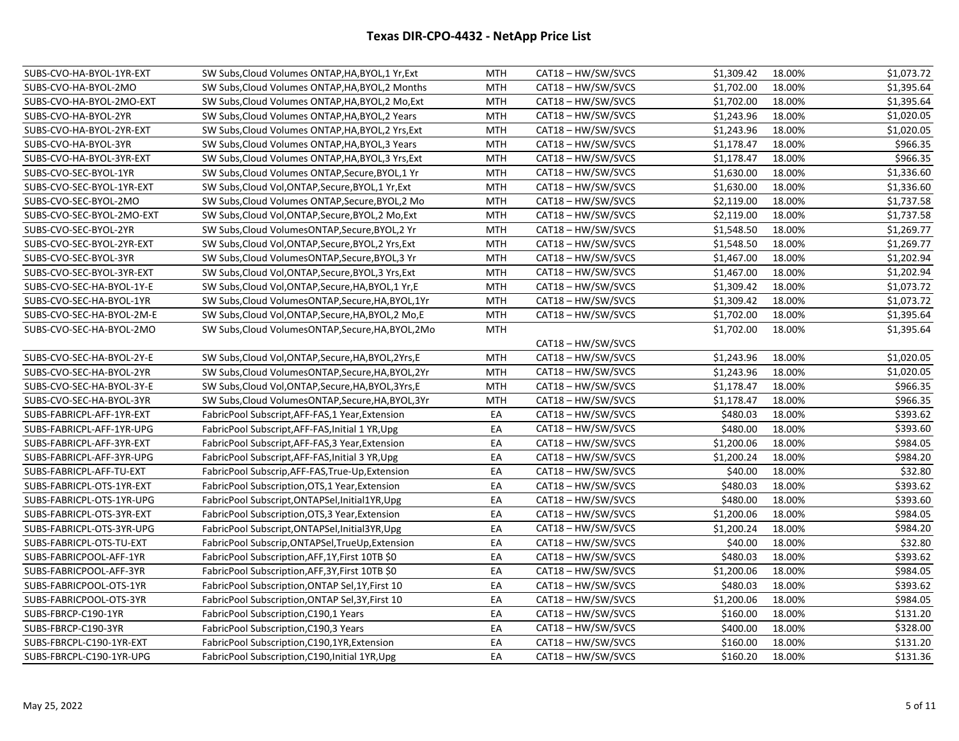| SUBS-CVO-HA-BYOL-1YR-EXT  | SW Subs, Cloud Volumes ONTAP, HA, BYOL, 1 Yr, Ext    | MTH        | CAT18 - HW/SW/SVCS | \$1,309.42 | 18.00% | \$1,073.72 |
|---------------------------|------------------------------------------------------|------------|--------------------|------------|--------|------------|
| SUBS-CVO-HA-BYOL-2MO      | SW Subs, Cloud Volumes ONTAP, HA, BYOL, 2 Months     | <b>MTH</b> | CAT18 - HW/SW/SVCS | \$1,702.00 | 18.00% | \$1,395.64 |
| SUBS-CVO-HA-BYOL-2MO-EXT  | SW Subs, Cloud Volumes ONTAP, HA, BYOL, 2 Mo, Ext    | <b>MTH</b> | CAT18 - HW/SW/SVCS | \$1,702.00 | 18.00% | \$1,395.64 |
| SUBS-CVO-HA-BYOL-2YR      | SW Subs, Cloud Volumes ONTAP, HA, BYOL, 2 Years      | <b>MTH</b> | CAT18 - HW/SW/SVCS | \$1,243.96 | 18.00% | \$1,020.05 |
| SUBS-CVO-HA-BYOL-2YR-EXT  | SW Subs, Cloud Volumes ONTAP, HA, BYOL, 2 Yrs, Ext   | <b>MTH</b> | CAT18 - HW/SW/SVCS | \$1,243.96 | 18.00% | \$1,020.05 |
| SUBS-CVO-HA-BYOL-3YR      | SW Subs, Cloud Volumes ONTAP, HA, BYOL, 3 Years      | <b>MTH</b> | CAT18 - HW/SW/SVCS | \$1,178.47 | 18.00% | \$966.35   |
| SUBS-CVO-HA-BYOL-3YR-EXT  | SW Subs, Cloud Volumes ONTAP, HA, BYOL, 3 Yrs, Ext   | <b>MTH</b> | CAT18 - HW/SW/SVCS | \$1,178.47 | 18.00% | \$966.35   |
| SUBS-CVO-SEC-BYOL-1YR     | SW Subs, Cloud Volumes ONTAP, Secure, BYOL, 1 Yr     | <b>MTH</b> | CAT18 - HW/SW/SVCS | \$1,630.00 | 18.00% | \$1,336.60 |
| SUBS-CVO-SEC-BYOL-1YR-EXT | SW Subs, Cloud Vol, ONTAP, Secure, BYOL, 1 Yr, Ext   | MTH        | CAT18 – HW/SW/SVCS | \$1,630.00 | 18.00% | \$1,336.60 |
| SUBS-CVO-SEC-BYOL-2MO     | SW Subs, Cloud Volumes ONTAP, Secure, BYOL, 2 Mo     | <b>MTH</b> | CAT18 - HW/SW/SVCS | \$2,119.00 | 18.00% | \$1,737.58 |
| SUBS-CVO-SEC-BYOL-2MO-EXT | SW Subs, Cloud Vol, ONTAP, Secure, BYOL, 2 Mo, Ext   | <b>MTH</b> | CAT18 - HW/SW/SVCS | \$2,119.00 | 18.00% | \$1,737.58 |
| SUBS-CVO-SEC-BYOL-2YR     | SW Subs, Cloud Volumes ONTAP, Secure, BYOL, 2 Yr     | <b>MTH</b> | CAT18 - HW/SW/SVCS | \$1,548.50 | 18.00% | \$1,269.77 |
| SUBS-CVO-SEC-BYOL-2YR-EXT | SW Subs, Cloud Vol, ONTAP, Secure, BYOL, 2 Yrs, Ext  | <b>MTH</b> | CAT18 - HW/SW/SVCS | \$1,548.50 | 18.00% | \$1,269.77 |
| SUBS-CVO-SEC-BYOL-3YR     | SW Subs, Cloud Volumes ONTAP, Secure, BYOL, 3 Yr     | <b>MTH</b> | CAT18 - HW/SW/SVCS | \$1,467.00 | 18.00% | \$1,202.94 |
| SUBS-CVO-SEC-BYOL-3YR-EXT | SW Subs, Cloud Vol, ONTAP, Secure, BYOL, 3 Yrs, Ext  | <b>MTH</b> | CAT18 - HW/SW/SVCS | \$1,467.00 | 18.00% | \$1,202.94 |
| SUBS-CVO-SEC-HA-BYOL-1Y-E | SW Subs, Cloud Vol, ONTAP, Secure, HA, BYOL, 1 Yr, E | MTH        | CAT18 - HW/SW/SVCS | \$1,309.42 | 18.00% | \$1,073.72 |
| SUBS-CVO-SEC-HA-BYOL-1YR  | SW Subs, Cloud Volumes ONTAP, Secure, HA, BYOL, 1Yr  | <b>MTH</b> | CAT18 - HW/SW/SVCS | \$1,309.42 | 18.00% | \$1,073.72 |
| SUBS-CVO-SEC-HA-BYOL-2M-E | SW Subs, Cloud Vol, ONTAP, Secure, HA, BYOL, 2 Mo, E | <b>MTH</b> | CAT18 - HW/SW/SVCS | \$1,702.00 | 18.00% | \$1,395.64 |
| SUBS-CVO-SEC-HA-BYOL-2MO  | SW Subs, Cloud Volumes ONTAP, Secure, HA, BYOL, 2Mo  | <b>MTH</b> |                    | \$1,702.00 | 18.00% | \$1,395.64 |
|                           |                                                      |            | CAT18 - HW/SW/SVCS |            |        |            |
| SUBS-CVO-SEC-HA-BYOL-2Y-E | SW Subs, Cloud Vol, ONTAP, Secure, HA, BYOL, 2Yrs, E | <b>MTH</b> | CAT18 - HW/SW/SVCS | \$1,243.96 | 18.00% | \$1,020.05 |
| SUBS-CVO-SEC-HA-BYOL-2YR  | SW Subs, Cloud Volumes ONTAP, Secure, HA, BYOL, 2Yr  | <b>MTH</b> | CAT18 - HW/SW/SVCS | \$1,243.96 | 18.00% | \$1,020.05 |
| SUBS-CVO-SEC-HA-BYOL-3Y-E | SW Subs, Cloud Vol, ONTAP, Secure, HA, BYOL, 3Yrs, E | <b>MTH</b> | CAT18 - HW/SW/SVCS | \$1,178.47 | 18.00% | \$966.35   |
| SUBS-CVO-SEC-HA-BYOL-3YR  | SW Subs, Cloud Volumes ONTAP, Secure, HA, BYOL, 3Yr  | <b>MTH</b> | CAT18 - HW/SW/SVCS | \$1,178.47 | 18.00% | \$966.35   |
| SUBS-FABRICPL-AFF-1YR-EXT | FabricPool Subscript, AFF-FAS, 1 Year, Extension     | EA         | CAT18 - HW/SW/SVCS | \$480.03   | 18.00% | \$393.62   |
| SUBS-FABRICPL-AFF-1YR-UPG | FabricPool Subscript, AFF-FAS, Initial 1 YR, Upg     | EA         | CAT18 - HW/SW/SVCS | \$480.00   | 18.00% | \$393.60   |
| SUBS-FABRICPL-AFF-3YR-EXT | FabricPool Subscript, AFF-FAS, 3 Year, Extension     | EA         | CAT18 – HW/SW/SVCS | \$1,200.06 | 18.00% | \$984.05   |
| SUBS-FABRICPL-AFF-3YR-UPG | FabricPool Subscript, AFF-FAS, Initial 3 YR, Upg     | EA         | CAT18 - HW/SW/SVCS | \$1,200.24 | 18.00% | \$984.20   |
| SUBS-FABRICPL-AFF-TU-EXT  | FabricPool Subscrip, AFF-FAS, True-Up, Extension     | EA         | CAT18 - HW/SW/SVCS | \$40.00    | 18.00% | \$32.80    |
| SUBS-FABRICPL-OTS-1YR-EXT | FabricPool Subscription, OTS, 1 Year, Extension      | EA         | CAT18-HW/SW/SVCS   | \$480.03   | 18.00% | \$393.62   |
| SUBS-FABRICPL-OTS-1YR-UPG | FabricPool Subscript, ONTAPSel, Initial 1YR, Upg     | EA         | CAT18 - HW/SW/SVCS | \$480.00   | 18.00% | \$393.60   |
| SUBS-FABRICPL-OTS-3YR-EXT | FabricPool Subscription, OTS, 3 Year, Extension      | EA         | CAT18 - HW/SW/SVCS | \$1,200.06 | 18.00% | \$984.05   |
| SUBS-FABRICPL-OTS-3YR-UPG | FabricPool Subscript, ONTAPSel, Initial3YR, Upg      | EA         | CAT18 - HW/SW/SVCS | \$1,200.24 | 18.00% | \$984.20   |
| SUBS-FABRICPL-OTS-TU-EXT  | FabricPool Subscrip, ONTAPSel, TrueUp, Extension     | EA         | CAT18 - HW/SW/SVCS | \$40.00    | 18.00% | \$32.80    |
| SUBS-FABRICPOOL-AFF-1YR   | FabricPool Subscription, AFF, 1Y, First 10TB \$0     | EA         | CAT18 - HW/SW/SVCS | \$480.03   | 18.00% | \$393.62   |
| SUBS-FABRICPOOL-AFF-3YR   | FabricPool Subscription, AFF, 3Y, First 10TB \$0     | EA         | CAT18-HW/SW/SVCS   | \$1,200.06 | 18.00% | \$984.05   |
| SUBS-FABRICPOOL-OTS-1YR   | FabricPool Subscription, ONTAP Sel, 1Y, First 10     | EA         | CAT18-HW/SW/SVCS   | \$480.03   | 18.00% | \$393.62   |
| SUBS-FABRICPOOL-OTS-3YR   | FabricPool Subscription, ONTAP Sel, 3Y, First 10     | EA         | CAT18-HW/SW/SVCS   | \$1,200.06 | 18.00% | \$984.05   |
| SUBS-FBRCP-C190-1YR       | FabricPool Subscription, C190, 1 Years               | EA         | CAT18 - HW/SW/SVCS | \$160.00   | 18.00% | \$131.20   |
| SUBS-FBRCP-C190-3YR       | FabricPool Subscription, C190, 3 Years               | EA         | CAT18 – HW/SW/SVCS | \$400.00   | 18.00% | \$328.00   |
| SUBS-FBRCPL-C190-1YR-EXT  | FabricPool Subscription, C190, 1YR, Extension        | EA         | CAT18 - HW/SW/SVCS | \$160.00   | 18.00% | \$131.20   |
| SUBS-FBRCPL-C190-1YR-UPG  | FabricPool Subscription, C190, Initial 1YR, Upg      | EA         | CAT18 - HW/SW/SVCS | \$160.20   | 18.00% | \$131.36   |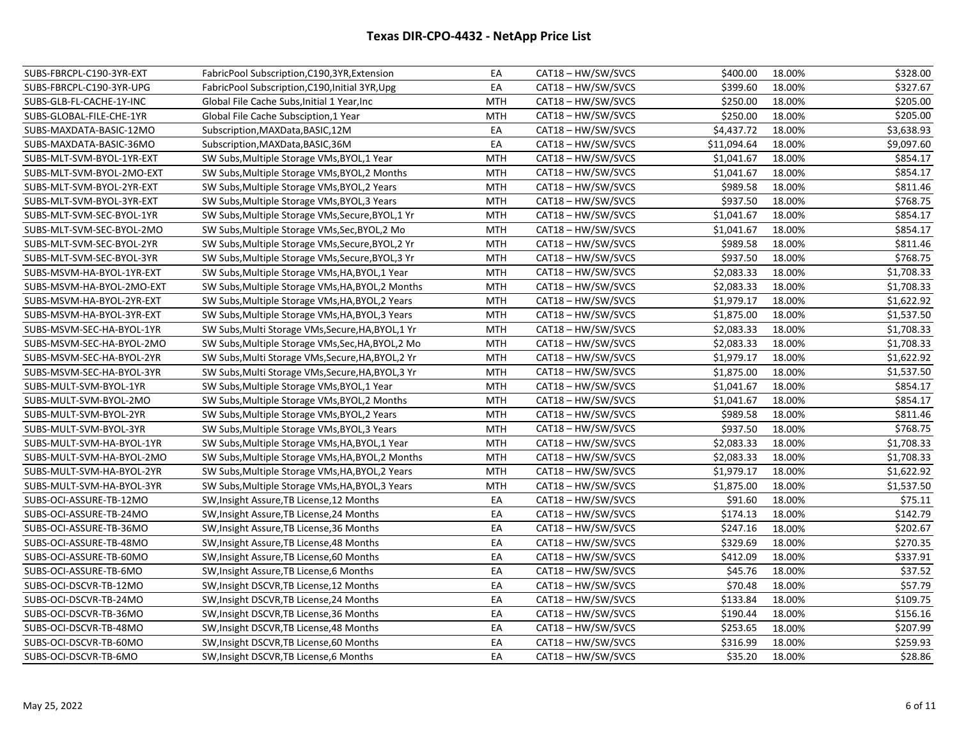| SUBS-FBRCPL-C190-3YR-EXT  | FabricPool Subscription, C190, 3YR, Extension      | EA         | CAT18 - HW/SW/SVCS | \$400.00    | 18.00% | \$328.00   |
|---------------------------|----------------------------------------------------|------------|--------------------|-------------|--------|------------|
| SUBS-FBRCPL-C190-3YR-UPG  | FabricPool Subscription, C190, Initial 3YR, Upg    | EA         | CAT18 - HW/SW/SVCS | \$399.60    | 18.00% | \$327.67   |
| SUBS-GLB-FL-CACHE-1Y-INC  | Global File Cache Subs, Initial 1 Year, Inc        | <b>MTH</b> | CAT18 - HW/SW/SVCS | \$250.00    | 18.00% | \$205.00   |
| SUBS-GLOBAL-FILE-CHE-1YR  | Global File Cache Subsciption, 1 Year              | <b>MTH</b> | CAT18 - HW/SW/SVCS | \$250.00    | 18.00% | \$205.00   |
| SUBS-MAXDATA-BASIC-12MO   | Subscription, MAXData, BASIC, 12M                  | EA         | CAT18 - HW/SW/SVCS | \$4,437.72  | 18.00% | \$3,638.93 |
| SUBS-MAXDATA-BASIC-36MO   | Subscription, MAXData, BASIC, 36M                  | EA         | CAT18 - HW/SW/SVCS | \$11,094.64 | 18.00% | \$9,097.60 |
| SUBS-MLT-SVM-BYOL-1YR-EXT | SW Subs, Multiple Storage VMs, BYOL, 1 Year        | <b>MTH</b> | CAT18-HW/SW/SVCS   | \$1,041.67  | 18.00% | \$854.17   |
| SUBS-MLT-SVM-BYOL-2MO-EXT | SW Subs, Multiple Storage VMs, BYOL, 2 Months      | MTH        | CAT18 - HW/SW/SVCS | \$1,041.67  | 18.00% | \$854.17   |
| SUBS-MLT-SVM-BYOL-2YR-EXT | SW Subs, Multiple Storage VMs, BYOL, 2 Years       | MTH        | CAT18 - HW/SW/SVCS | \$989.58    | 18.00% | \$811.46   |
| SUBS-MLT-SVM-BYOL-3YR-EXT | SW Subs, Multiple Storage VMs, BYOL, 3 Years       | <b>MTH</b> | CAT18 - HW/SW/SVCS | \$937.50    | 18.00% | \$768.75   |
| SUBS-MLT-SVM-SEC-BYOL-1YR | SW Subs, Multiple Storage VMs, Secure, BYOL, 1 Yr  | <b>MTH</b> | CAT18 - HW/SW/SVCS | \$1,041.67  | 18.00% | \$854.17   |
| SUBS-MLT-SVM-SEC-BYOL-2MO | SW Subs, Multiple Storage VMs, Sec, BYOL, 2 Mo     | <b>MTH</b> | CAT18 - HW/SW/SVCS | \$1,041.67  | 18.00% | \$854.17   |
| SUBS-MLT-SVM-SEC-BYOL-2YR | SW Subs, Multiple Storage VMs, Secure, BYOL, 2 Yr  | <b>MTH</b> | CAT18-HW/SW/SVCS   | \$989.58    | 18.00% | \$811.46   |
| SUBS-MLT-SVM-SEC-BYOL-3YR | SW Subs, Multiple Storage VMs, Secure, BYOL, 3 Yr  | <b>MTH</b> | CAT18 - HW/SW/SVCS | \$937.50    | 18.00% | \$768.75   |
| SUBS-MSVM-HA-BYOL-1YR-EXT | SW Subs, Multiple Storage VMs, HA, BYOL, 1 Year    | <b>MTH</b> | CAT18 - HW/SW/SVCS | \$2,083.33  | 18.00% | \$1,708.33 |
| SUBS-MSVM-HA-BYOL-2MO-EXT | SW Subs, Multiple Storage VMs, HA, BYOL, 2 Months  | <b>MTH</b> | CAT18 - HW/SW/SVCS | \$2,083.33  | 18.00% | \$1,708.33 |
| SUBS-MSVM-HA-BYOL-2YR-EXT | SW Subs, Multiple Storage VMs, HA, BYOL, 2 Years   | MTH        | CAT18 - HW/SW/SVCS | \$1,979.17  | 18.00% | \$1,622.92 |
| SUBS-MSVM-HA-BYOL-3YR-EXT | SW Subs, Multiple Storage VMs, HA, BYOL, 3 Years   | MTH        | CAT18 - HW/SW/SVCS | \$1,875.00  | 18.00% | \$1,537.50 |
| SUBS-MSVM-SEC-HA-BYOL-1YR | SW Subs, Multi Storage VMs, Secure, HA, BYOL, 1 Yr | <b>MTH</b> | CAT18 - HW/SW/SVCS | \$2,083.33  | 18.00% | \$1,708.33 |
| SUBS-MSVM-SEC-HA-BYOL-2MO | SW Subs, Multiple Storage VMs, Sec, HA, BYOL, 2 Mo | <b>MTH</b> | CAT18 - HW/SW/SVCS | \$2,083.33  | 18.00% | \$1,708.33 |
| SUBS-MSVM-SEC-HA-BYOL-2YR | SW Subs, Multi Storage VMs, Secure, HA, BYOL, 2 Yr | <b>MTH</b> | CAT18 - HW/SW/SVCS | \$1,979.17  | 18.00% | \$1,622.92 |
| SUBS-MSVM-SEC-HA-BYOL-3YR | SW Subs, Multi Storage VMs, Secure, HA, BYOL, 3 Yr | <b>MTH</b> | CAT18 - HW/SW/SVCS | \$1,875.00  | 18.00% | \$1,537.50 |
| SUBS-MULT-SVM-BYOL-1YR    | SW Subs, Multiple Storage VMs, BYOL, 1 Year        | <b>MTH</b> | CAT18 - HW/SW/SVCS | \$1,041.67  | 18.00% | \$854.17   |
| SUBS-MULT-SVM-BYOL-2MO    | SW Subs, Multiple Storage VMs, BYOL, 2 Months      | <b>MTH</b> | CAT18 - HW/SW/SVCS | \$1,041.67  | 18.00% | \$854.17   |
| SUBS-MULT-SVM-BYOL-2YR    | SW Subs, Multiple Storage VMs, BYOL, 2 Years       | <b>MTH</b> | CAT18-HW/SW/SVCS   | \$989.58    | 18.00% | \$811.46   |
| SUBS-MULT-SVM-BYOL-3YR    | SW Subs, Multiple Storage VMs, BYOL, 3 Years       | MTH        | CAT18 - HW/SW/SVCS | \$937.50    | 18.00% | \$768.75   |
| SUBS-MULT-SVM-HA-BYOL-1YR | SW Subs, Multiple Storage VMs, HA, BYOL, 1 Year    | MTH        | CAT18 - HW/SW/SVCS | \$2,083.33  | 18.00% | \$1,708.33 |
| SUBS-MULT-SVM-HA-BYOL-2MO | SW Subs, Multiple Storage VMs, HA, BYOL, 2 Months  | <b>MTH</b> | CAT18 - HW/SW/SVCS | \$2,083.33  | 18.00% | \$1,708.33 |
| SUBS-MULT-SVM-HA-BYOL-2YR | SW Subs, Multiple Storage VMs, HA, BYOL, 2 Years   | <b>MTH</b> | CAT18 - HW/SW/SVCS | \$1,979.17  | 18.00% | \$1,622.92 |
| SUBS-MULT-SVM-HA-BYOL-3YR | SW Subs, Multiple Storage VMs, HA, BYOL, 3 Years   | <b>MTH</b> | CAT18 - HW/SW/SVCS | \$1,875.00  | 18.00% | \$1,537.50 |
| SUBS-OCI-ASSURE-TB-12MO   | SW, Insight Assure, TB License, 12 Months          | EA         | CAT18 - HW/SW/SVCS | \$91.60     | 18.00% | \$75.11    |
| SUBS-OCI-ASSURE-TB-24MO   | SW, Insight Assure, TB License, 24 Months          | EA         | CAT18 - HW/SW/SVCS | \$174.13    | 18.00% | \$142.79   |
| SUBS-OCI-ASSURE-TB-36MO   | SW, Insight Assure, TB License, 36 Months          | EA         | CAT18 - HW/SW/SVCS | \$247.16    | 18.00% | \$202.67   |
| SUBS-OCI-ASSURE-TB-48MO   | SW, Insight Assure, TB License, 48 Months          | EA         | CAT18-HW/SW/SVCS   | \$329.69    | 18.00% | \$270.35   |
| SUBS-OCI-ASSURE-TB-60MO   | SW, Insight Assure, TB License, 60 Months          | EA         | CAT18 - HW/SW/SVCS | \$412.09    | 18.00% | \$337.91   |
| SUBS-OCI-ASSURE-TB-6MO    | SW, Insight Assure, TB License, 6 Months           | EA         | CAT18 - HW/SW/SVCS | \$45.76     | 18.00% | \$37.52    |
| SUBS-OCI-DSCVR-TB-12MO    | SW, Insight DSCVR, TB License, 12 Months           | EA         | CAT18 - HW/SW/SVCS | \$70.48     | 18.00% | \$57.79    |
| SUBS-OCI-DSCVR-TB-24MO    | SW, Insight DSCVR, TB License, 24 Months           | EA         | CAT18 - HW/SW/SVCS | \$133.84    | 18.00% | \$109.75   |
| SUBS-OCI-DSCVR-TB-36MO    | SW, Insight DSCVR, TB License, 36 Months           | EA         | CAT18 - HW/SW/SVCS | \$190.44    | 18.00% | \$156.16   |
| SUBS-OCI-DSCVR-TB-48MO    | SW, Insight DSCVR, TB License, 48 Months           | EA         | CAT18 - HW/SW/SVCS | \$253.65    | 18.00% | \$207.99   |
| SUBS-OCI-DSCVR-TB-60MO    | SW, Insight DSCVR, TB License, 60 Months           | EA         | CAT18 - HW/SW/SVCS | \$316.99    | 18.00% | \$259.93   |
| SUBS-OCI-DSCVR-TB-6MO     | SW, Insight DSCVR, TB License, 6 Months            | EA         | CAT18 - HW/SW/SVCS | \$35.20     | 18.00% | \$28.86    |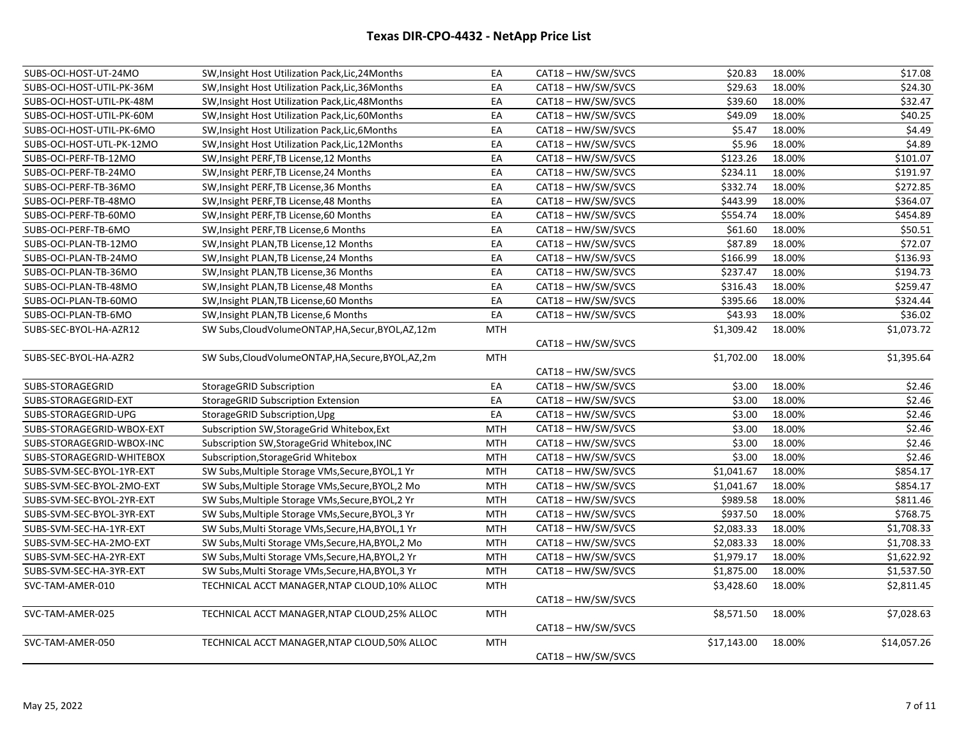| SUBS-OCI-HOST-UT-24MO     | SW, Insight Host Utilization Pack, Lic, 24 Months     | EA         | CAT18 - HW/SW/SVCS | \$20.83     | 18.00% | \$17.08     |
|---------------------------|-------------------------------------------------------|------------|--------------------|-------------|--------|-------------|
| SUBS-OCI-HOST-UTIL-PK-36M | SW, Insight Host Utilization Pack, Lic, 36 Months     | EA         | CAT18 - HW/SW/SVCS | \$29.63     | 18.00% | \$24.30     |
| SUBS-OCI-HOST-UTIL-PK-48M | SW, Insight Host Utilization Pack, Lic, 48 Months     | EA         | CAT18 - HW/SW/SVCS | \$39.60     | 18.00% | \$32.47     |
| SUBS-OCI-HOST-UTIL-PK-60M | SW, Insight Host Utilization Pack, Lic, 60 Months     | EA         | CAT18-HW/SW/SVCS   | \$49.09     | 18.00% | \$40.25     |
| SUBS-OCI-HOST-UTIL-PK-6MO | SW, Insight Host Utilization Pack, Lic, 6Months       | EA         | CAT18 - HW/SW/SVCS | \$5.47      | 18.00% | \$4.49      |
| SUBS-OCI-HOST-UTL-PK-12MO | SW, Insight Host Utilization Pack, Lic, 12 Months     | EA         | CAT18 - HW/SW/SVCS | \$5.96      | 18.00% | \$4.89      |
| SUBS-OCI-PERF-TB-12MO     | SW, Insight PERF, TB License, 12 Months               | EA         | CAT18 - HW/SW/SVCS | \$123.26    | 18.00% | \$101.07    |
| SUBS-OCI-PERF-TB-24MO     | SW, Insight PERF, TB License, 24 Months               | EA         | CAT18-HW/SW/SVCS   | \$234.11    | 18.00% | \$191.97    |
| SUBS-OCI-PERF-TB-36MO     | SW, Insight PERF, TB License, 36 Months               | EA         | CAT18 - HW/SW/SVCS | \$332.74    | 18.00% | \$272.85    |
| SUBS-OCI-PERF-TB-48MO     | SW, Insight PERF, TB License, 48 Months               | EA         | CAT18 - HW/SW/SVCS | \$443.99    | 18.00% | \$364.07    |
| SUBS-OCI-PERF-TB-60MO     | SW, Insight PERF, TB License, 60 Months               | EA         | CAT18 - HW/SW/SVCS | \$554.74    | 18.00% | \$454.89    |
| SUBS-OCI-PERF-TB-6MO      | SW, Insight PERF, TB License, 6 Months                | EA         | CAT18 - HW/SW/SVCS | \$61.60     | 18.00% | \$50.51     |
| SUBS-OCI-PLAN-TB-12MO     | SW, Insight PLAN, TB License, 12 Months               | EA         | CAT18-HW/SW/SVCS   | \$87.89     | 18.00% | \$72.07     |
| SUBS-OCI-PLAN-TB-24MO     | SW, Insight PLAN, TB License, 24 Months               | EA         | CAT18 - HW/SW/SVCS | \$166.99    | 18.00% | \$136.93    |
| SUBS-OCI-PLAN-TB-36MO     | SW, Insight PLAN, TB License, 36 Months               | EA         | CAT18-HW/SW/SVCS   | \$237.47    | 18.00% | \$194.73    |
| SUBS-OCI-PLAN-TB-48MO     | SW, Insight PLAN, TB License, 48 Months               | EA         | CAT18-HW/SW/SVCS   | \$316.43    | 18.00% | \$259.47    |
| SUBS-OCI-PLAN-TB-60MO     | SW, Insight PLAN, TB License, 60 Months               | EA         | CAT18-HW/SW/SVCS   | \$395.66    | 18.00% | \$324.44    |
| SUBS-OCI-PLAN-TB-6MO      | SW, Insight PLAN, TB License, 6 Months                | EA         | CAT18 - HW/SW/SVCS | \$43.93     | 18.00% | \$36.02     |
| SUBS-SEC-BYOL-HA-AZR12    | SW Subs, Cloud Volume ONTAP, HA, Secur, BYOL, AZ, 12m | <b>MTH</b> |                    | \$1,309.42  | 18.00% | \$1,073.72  |
|                           |                                                       |            | CAT18 - HW/SW/SVCS |             |        |             |
| SUBS-SEC-BYOL-HA-AZR2     | SW Subs, Cloud Volume ONTAP, HA, Secure, BYOL, AZ, 2m | <b>MTH</b> |                    | \$1,702.00  | 18.00% | \$1,395.64  |
|                           |                                                       |            | CAT18 - HW/SW/SVCS |             |        |             |
| SUBS-STORAGEGRID          | StorageGRID Subscription                              | EA         | CAT18 - HW/SW/SVCS | \$3.00      | 18.00% | \$2.46      |
| SUBS-STORAGEGRID-EXT      | <b>StorageGRID Subscription Extension</b>             | EA         | CAT18 - HW/SW/SVCS | \$3.00      | 18.00% | \$2.46      |
| SUBS-STORAGEGRID-UPG      | StorageGRID Subscription, Upg                         | EA         | CAT18 - HW/SW/SVCS | \$3.00      | 18.00% | \$2.46      |
| SUBS-STORAGEGRID-WBOX-EXT | Subscription SW, Storage Grid Whitebox, Ext           | <b>MTH</b> | CAT18 - HW/SW/SVCS | \$3.00      | 18.00% | \$2.46      |
| SUBS-STORAGEGRID-WBOX-INC | Subscription SW, Storage Grid Whitebox, INC           | <b>MTH</b> | CAT18 - HW/SW/SVCS | \$3.00      | 18.00% | \$2.46      |
| SUBS-STORAGEGRID-WHITEBOX | Subscription, Storage Grid Whitebox                   | <b>MTH</b> | CAT18 - HW/SW/SVCS | \$3.00      | 18.00% | \$2.46      |
| SUBS-SVM-SEC-BYOL-1YR-EXT | SW Subs, Multiple Storage VMs, Secure, BYOL, 1 Yr     | <b>MTH</b> | CAT18 - HW/SW/SVCS | \$1,041.67  | 18.00% | \$854.17    |
| SUBS-SVM-SEC-BYOL-2MO-EXT | SW Subs, Multiple Storage VMs, Secure, BYOL, 2 Mo     | <b>MTH</b> | CAT18 - HW/SW/SVCS | \$1,041.67  | 18.00% | \$854.17    |
| SUBS-SVM-SEC-BYOL-2YR-EXT | SW Subs, Multiple Storage VMs, Secure, BYOL, 2 Yr     | MTH        | CAT18-HW/SW/SVCS   | \$989.58    | 18.00% | \$811.46    |
| SUBS-SVM-SEC-BYOL-3YR-EXT | SW Subs, Multiple Storage VMs, Secure, BYOL, 3 Yr     | MTH        | CAT18 - HW/SW/SVCS | \$937.50    | 18.00% | \$768.75    |
| SUBS-SVM-SEC-HA-1YR-EXT   | SW Subs, Multi Storage VMs, Secure, HA, BYOL, 1 Yr    | <b>MTH</b> | CAT18-HW/SW/SVCS   | \$2,083.33  | 18.00% | \$1,708.33  |
| SUBS-SVM-SEC-HA-2MO-EXT   | SW Subs, Multi Storage VMs, Secure, HA, BYOL, 2 Mo    | <b>MTH</b> | CAT18 - HW/SW/SVCS | \$2,083.33  | 18.00% | \$1,708.33  |
| SUBS-SVM-SEC-HA-2YR-EXT   | SW Subs, Multi Storage VMs, Secure, HA, BYOL, 2 Yr    | MTH        | CAT18-HW/SW/SVCS   | \$1,979.17  | 18.00% | \$1,622.92  |
| SUBS-SVM-SEC-HA-3YR-EXT   | SW Subs, Multi Storage VMs, Secure, HA, BYOL, 3 Yr    | <b>MTH</b> | CAT18 - HW/SW/SVCS | \$1,875.00  | 18.00% | \$1,537.50  |
| SVC-TAM-AMER-010          | TECHNICAL ACCT MANAGER, NTAP CLOUD, 10% ALLOC         | <b>MTH</b> |                    | \$3,428.60  | 18.00% | \$2,811.45  |
|                           |                                                       |            | CAT18 - HW/SW/SVCS |             |        |             |
| SVC-TAM-AMER-025          | TECHNICAL ACCT MANAGER, NTAP CLOUD, 25% ALLOC         | <b>MTH</b> |                    | \$8,571.50  | 18.00% | \$7,028.63  |
|                           |                                                       |            | CAT18-HW/SW/SVCS   |             |        |             |
| SVC-TAM-AMER-050          | TECHNICAL ACCT MANAGER, NTAP CLOUD, 50% ALLOC         | <b>MTH</b> |                    | \$17,143.00 | 18.00% | \$14,057.26 |
|                           |                                                       |            | CAT18 - HW/SW/SVCS |             |        |             |
|                           |                                                       |            |                    |             |        |             |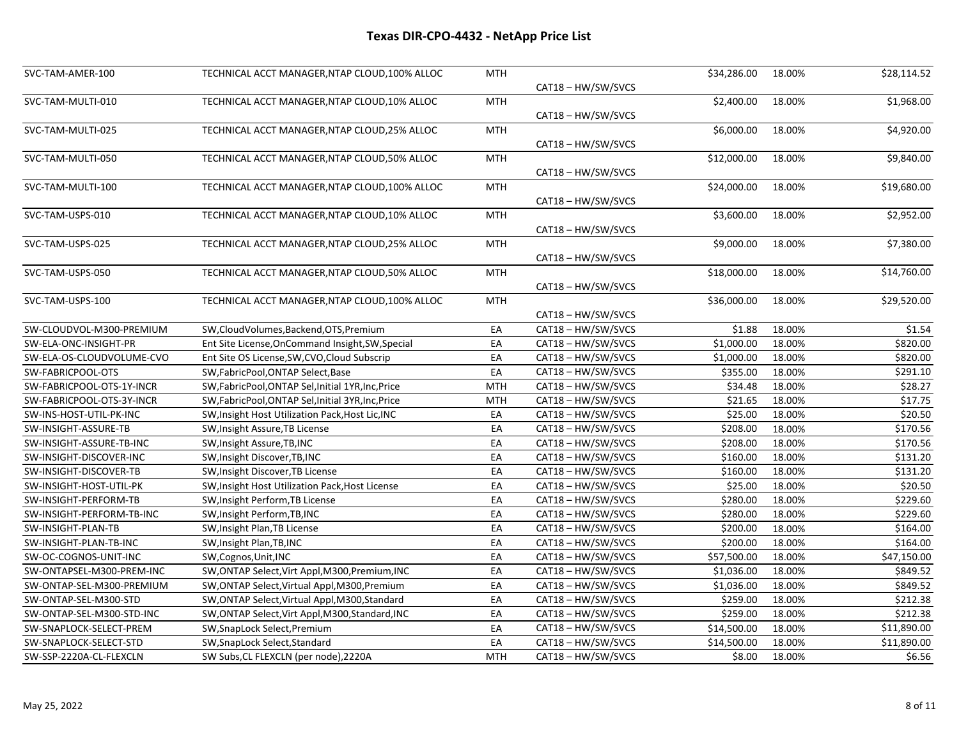| SVC-TAM-AMER-100          | TECHNICAL ACCT MANAGER, NTAP CLOUD, 100% ALLOC      | MTH        |                    | \$34,286.00 | 18.00% | \$28,114.52 |
|---------------------------|-----------------------------------------------------|------------|--------------------|-------------|--------|-------------|
|                           |                                                     |            | CAT18 - HW/SW/SVCS |             |        |             |
| SVC-TAM-MULTI-010         | TECHNICAL ACCT MANAGER, NTAP CLOUD, 10% ALLOC       | <b>MTH</b> |                    | \$2,400.00  | 18.00% | \$1,968.00  |
|                           |                                                     |            | CAT18 - HW/SW/SVCS |             |        |             |
| SVC-TAM-MULTI-025         | TECHNICAL ACCT MANAGER, NTAP CLOUD, 25% ALLOC       | <b>MTH</b> |                    | \$6,000.00  | 18.00% | \$4,920.00  |
|                           |                                                     |            | CAT18-HW/SW/SVCS   |             |        |             |
| SVC-TAM-MULTI-050         | TECHNICAL ACCT MANAGER, NTAP CLOUD, 50% ALLOC       | <b>MTH</b> |                    | \$12,000.00 | 18.00% | \$9,840.00  |
|                           |                                                     |            | CAT18 - HW/SW/SVCS |             |        |             |
| SVC-TAM-MULTI-100         | TECHNICAL ACCT MANAGER, NTAP CLOUD, 100% ALLOC      | <b>MTH</b> |                    | \$24,000.00 | 18.00% | \$19,680.00 |
|                           |                                                     |            | CAT18 - HW/SW/SVCS |             |        |             |
| SVC-TAM-USPS-010          | TECHNICAL ACCT MANAGER, NTAP CLOUD, 10% ALLOC       | <b>MTH</b> |                    | \$3,600.00  | 18.00% | \$2,952.00  |
|                           |                                                     |            | CAT18 - HW/SW/SVCS |             |        |             |
| SVC-TAM-USPS-025          | TECHNICAL ACCT MANAGER, NTAP CLOUD, 25% ALLOC       | MTH        |                    | \$9,000.00  | 18.00% | \$7,380.00  |
|                           |                                                     |            | CAT18-HW/SW/SVCS   |             |        |             |
| SVC-TAM-USPS-050          | TECHNICAL ACCT MANAGER, NTAP CLOUD, 50% ALLOC       | <b>MTH</b> |                    | \$18,000.00 | 18.00% | \$14,760.00 |
|                           |                                                     |            | CAT18-HW/SW/SVCS   |             |        |             |
| SVC-TAM-USPS-100          | TECHNICAL ACCT MANAGER, NTAP CLOUD, 100% ALLOC      | <b>MTH</b> |                    | \$36,000.00 | 18.00% | \$29,520.00 |
|                           |                                                     |            | CAT18 - HW/SW/SVCS |             |        |             |
| SW-CLOUDVOL-M300-PREMIUM  | SW,CloudVolumes,Backend,OTS,Premium                 | EA         | CAT18 - HW/SW/SVCS | \$1.88      | 18.00% | \$1.54      |
| SW-ELA-ONC-INSIGHT-PR     | Ent Site License, On Command Insight, SW, Special   | EA         | CAT18-HW/SW/SVCS   | \$1,000.00  | 18.00% | \$820.00    |
| SW-ELA-OS-CLOUDVOLUME-CVO | Ent Site OS License, SW, CVO, Cloud Subscrip        | EA         | CAT18 - HW/SW/SVCS | \$1,000.00  | 18.00% | \$820.00    |
| SW-FABRICPOOL-OTS         | SW, Fabric Pool, ONTAP Select, Base                 | EA         | CAT18-HW/SW/SVCS   | \$355.00    | 18.00% | \$291.10    |
| SW-FABRICPOOL-OTS-1Y-INCR | SW, Fabric Pool, ONTAP Sel, Initial 1YR, Inc, Price | <b>MTH</b> | CAT18 - HW/SW/SVCS | \$34.48     | 18.00% | \$28.27     |
| SW-FABRICPOOL-OTS-3Y-INCR | SW, Fabric Pool, ONTAP Sel, Initial 3YR, Inc, Price | <b>MTH</b> | CAT18 - HW/SW/SVCS | \$21.65     | 18.00% | \$17.75     |
| SW-INS-HOST-UTIL-PK-INC   | SW, Insight Host Utilization Pack, Host Lic, INC    | EA         | CAT18-HW/SW/SVCS   | \$25.00     | 18.00% | \$20.50     |
| SW-INSIGHT-ASSURE-TB      | SW, Insight Assure, TB License                      | EA         | CAT18-HW/SW/SVCS   | \$208.00    | 18.00% | \$170.56    |
| SW-INSIGHT-ASSURE-TB-INC  | SW, Insight Assure, TB, INC                         | EA         | CAT18 - HW/SW/SVCS | \$208.00    | 18.00% | \$170.56    |
| SW-INSIGHT-DISCOVER-INC   | SW, Insight Discover, TB, INC                       | EA         | CAT18 - HW/SW/SVCS | \$160.00    | 18.00% | \$131.20    |
| SW-INSIGHT-DISCOVER-TB    | SW, Insight Discover, TB License                    | EA         | CAT18-HW/SW/SVCS   | \$160.00    | 18.00% | \$131.20    |
| SW-INSIGHT-HOST-UTIL-PK   | SW, Insight Host Utilization Pack, Host License     | EA         | CAT18-HW/SW/SVCS   | \$25.00     | 18.00% | \$20.50     |
| SW-INSIGHT-PERFORM-TB     | SW, Insight Perform, TB License                     | EA         | CAT18 - HW/SW/SVCS | \$280.00    | 18.00% | \$229.60    |
| SW-INSIGHT-PERFORM-TB-INC | SW, Insight Perform, TB, INC                        | EA         | CAT18 - HW/SW/SVCS | \$280.00    | 18.00% | \$229.60    |
| SW-INSIGHT-PLAN-TB        | SW, Insight Plan, TB License                        | EA         | CAT18 - HW/SW/SVCS | \$200.00    | 18.00% | \$164.00    |
| SW-INSIGHT-PLAN-TB-INC    | SW, Insight Plan, TB, INC                           | EA         | CAT18-HW/SW/SVCS   | \$200.00    | 18.00% | \$164.00    |
| SW-OC-COGNOS-UNIT-INC     | SW, Cognos, Unit, INC                               | EA         | CAT18-HW/SW/SVCS   | \$57,500.00 | 18.00% | \$47,150.00 |
| SW-ONTAPSEL-M300-PREM-INC | SW, ONTAP Select, Virt Appl, M300, Premium, INC     | EA         | CAT18 - HW/SW/SVCS | \$1,036.00  | 18.00% | \$849.52    |
| SW-ONTAP-SEL-M300-PREMIUM | SW, ONTAP Select, Virtual Appl, M300, Premium       | EA         | CAT18 - HW/SW/SVCS | \$1,036.00  | 18.00% | \$849.52    |
| SW-ONTAP-SEL-M300-STD     | SW, ONTAP Select, Virtual Appl, M300, Standard      | EA         | CAT18-HW/SW/SVCS   | \$259.00    | 18.00% | \$212.38    |
| SW-ONTAP-SEL-M300-STD-INC | SW, ONTAP Select, Virt Appl, M300, Standard, INC    | EA         | CAT18-HW/SW/SVCS   | \$259.00    | 18.00% | \$212.38    |
| SW-SNAPLOCK-SELECT-PREM   | SW, SnapLock Select, Premium                        | EA         | CAT18 - HW/SW/SVCS | \$14,500.00 | 18.00% | \$11,890.00 |
| SW-SNAPLOCK-SELECT-STD    | SW, SnapLock Select, Standard                       | EA         | CAT18-HW/SW/SVCS   | \$14,500.00 | 18.00% | \$11,890.00 |
| SW-SSP-2220A-CL-FLEXCLN   | SW Subs, CL FLEXCLN (per node), 2220A               | <b>MTH</b> | CAT18-HW/SW/SVCS   | \$8.00      | 18.00% | \$6.56      |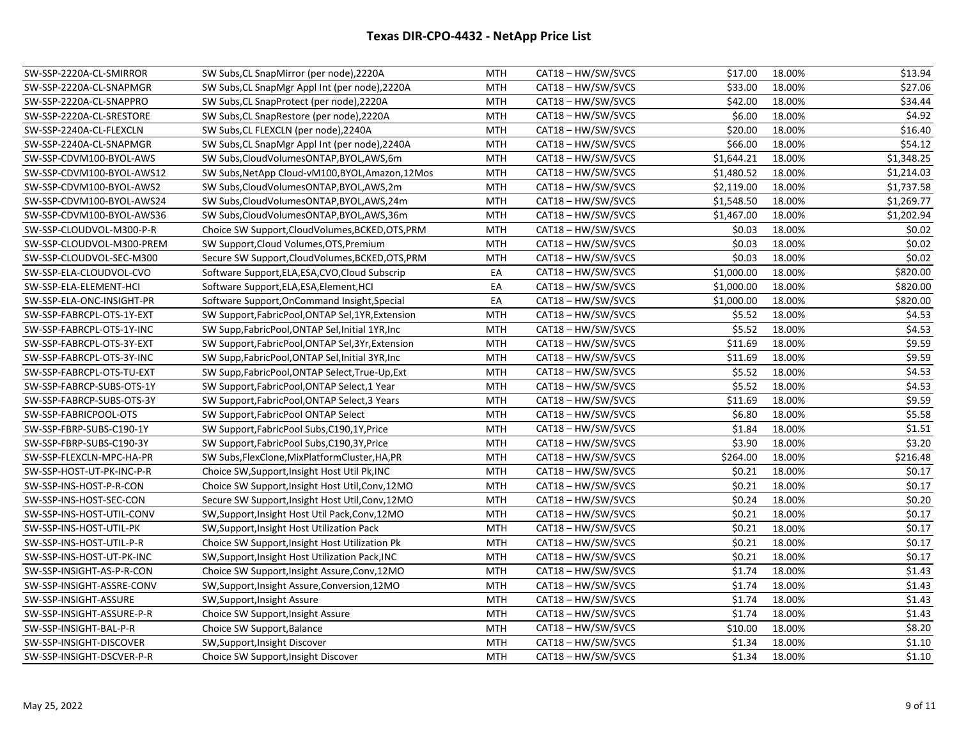| SW-SSP-2220A-CL-SMIRROR   | SW Subs, CL SnapMirror (per node), 2220A          | MTH        | CAT18 - HW/SW/SVCS | \$17.00    | 18.00% | \$13.94    |
|---------------------------|---------------------------------------------------|------------|--------------------|------------|--------|------------|
| SW-SSP-2220A-CL-SNAPMGR   | SW Subs, CL SnapMgr Appl Int (per node), 2220A    | MTH        | CAT18 - HW/SW/SVCS | \$33.00    | 18.00% | \$27.06    |
| SW-SSP-2220A-CL-SNAPPRO   | SW Subs, CL SnapProtect (per node), 2220A         | <b>MTH</b> | CAT18 - HW/SW/SVCS | \$42.00    | 18.00% | \$34.44    |
| SW-SSP-2220A-CL-SRESTORE  | SW Subs, CL SnapRestore (per node), 2220A         | MTH        | CAT18 - HW/SW/SVCS | \$6.00     | 18.00% | \$4.92     |
| SW-SSP-2240A-CL-FLEXCLN   | SW Subs, CL FLEXCLN (per node), 2240A             | MTH        | CAT18 - HW/SW/SVCS | \$20.00    | 18.00% | \$16.40    |
| SW-SSP-2240A-CL-SNAPMGR   | SW Subs, CL SnapMgr Appl Int (per node), 2240A    | <b>MTH</b> | CAT18 - HW/SW/SVCS | \$66.00    | 18.00% | \$54.12    |
| SW-SSP-CDVM100-BYOL-AWS   | SW Subs, Cloud Volumes ONTAP, BYOL, AWS, 6m       | MTH        | CAT18 - HW/SW/SVCS | \$1,644.21 | 18.00% | \$1,348.25 |
| SW-SSP-CDVM100-BYOL-AWS12 | SW Subs, NetApp Cloud-vM100, BYOL, Amazon, 12Mos  | MTH        | CAT18 - HW/SW/SVCS | \$1,480.52 | 18.00% | \$1,214.03 |
| SW-SSP-CDVM100-BYOL-AWS2  | SW Subs, Cloud Volumes ONTAP, BYOL, AWS, 2m       | MTH        | CAT18 - HW/SW/SVCS | \$2,119.00 | 18.00% | \$1,737.58 |
| SW-SSP-CDVM100-BYOL-AWS24 | SW Subs, Cloud Volumes ONTAP, BYOL, AWS, 24m      | <b>MTH</b> | CAT18 - HW/SW/SVCS | \$1,548.50 | 18.00% | \$1,269.77 |
| SW-SSP-CDVM100-BYOL-AWS36 | SW Subs, Cloud Volumes ONTAP, BYOL, AWS, 36m      | <b>MTH</b> | CAT18 - HW/SW/SVCS | \$1,467.00 | 18.00% | \$1,202.94 |
| SW-SSP-CLOUDVOL-M300-P-R  | Choice SW Support, Cloud Volumes, BCKED, OTS, PRM | <b>MTH</b> | CAT18 - HW/SW/SVCS | \$0.03     | 18.00% | \$0.02     |
| SW-SSP-CLOUDVOL-M300-PREM | SW Support, Cloud Volumes, OTS, Premium           | MTH        | CAT18 - HW/SW/SVCS | \$0.03     | 18.00% | \$0.02     |
| SW-SSP-CLOUDVOL-SEC-M300  | Secure SW Support, Cloud Volumes, BCKED, OTS, PRM | <b>MTH</b> | CAT18 - HW/SW/SVCS | \$0.03     | 18.00% | \$0.02     |
| SW-SSP-ELA-CLOUDVOL-CVO   | Software Support, ELA, ESA, CVO, Cloud Subscrip   | EA         | CAT18 - HW/SW/SVCS | \$1,000.00 | 18.00% | \$820.00   |
| SW-SSP-ELA-ELEMENT-HCI    | Software Support, ELA, ESA, Element, HCI          | EA         | CAT18 - HW/SW/SVCS | \$1,000.00 | 18.00% | \$820.00   |
| SW-SSP-ELA-ONC-INSIGHT-PR | Software Support, OnCommand Insight, Special      | EA         | CAT18 - HW/SW/SVCS | \$1,000.00 | 18.00% | \$820.00   |
| SW-SSP-FABRCPL-OTS-1Y-EXT | SW Support, FabricPool, ONTAP Sel, 1YR, Extension | MTH        | CAT18 - HW/SW/SVCS | \$5.52     | 18.00% | \$4.53     |
| SW-SSP-FABRCPL-OTS-1Y-INC | SW Supp, Fabric Pool, ONTAP Sel, Initial 1YR, Inc | <b>MTH</b> | CAT18 - HW/SW/SVCS | \$5.52     | 18.00% | \$4.53     |
| SW-SSP-FABRCPL-OTS-3Y-EXT | SW Support, FabricPool, ONTAP Sel, 3Yr, Extension | <b>MTH</b> | CAT18 - HW/SW/SVCS | \$11.69    | 18.00% | \$9.59     |
| SW-SSP-FABRCPL-OTS-3Y-INC | SW Supp, Fabric Pool, ONTAP Sel, Initial 3YR, Inc | MTH        | CAT18-HW/SW/SVCS   | \$11.69    | 18.00% | \$9.59     |
| SW-SSP-FABRCPL-OTS-TU-EXT | SW Supp, Fabric Pool, ONTAP Select, True-Up, Ext  | MTH        | CAT18 - HW/SW/SVCS | \$5.52     | 18.00% | \$4.53     |
| SW-SSP-FABRCP-SUBS-OTS-1Y | SW Support, FabricPool, ONTAP Select, 1 Year      | MTH        | CAT18-HW/SW/SVCS   | \$5.52     | 18.00% | \$4.53     |
| SW-SSP-FABRCP-SUBS-OTS-3Y | SW Support, FabricPool, ONTAP Select, 3 Years     | <b>MTH</b> | CAT18 - HW/SW/SVCS | \$11.69    | 18.00% | \$9.59     |
| SW-SSP-FABRICPOOL-OTS     | SW Support, Fabric Pool ONTAP Select              | MTH        | CAT18-HW/SW/SVCS   | \$6.80     | 18.00% | \$5.58     |
| SW-SSP-FBRP-SUBS-C190-1Y  | SW Support, Fabric Pool Subs, C190, 1Y, Price     | MTH        | CAT18 - HW/SW/SVCS | \$1.84     | 18.00% | \$1.51     |
| SW-SSP-FBRP-SUBS-C190-3Y  | SW Support, Fabric Pool Subs, C190, 3Y, Price     | MTH        | CAT18 - HW/SW/SVCS | \$3.90     | 18.00% | \$3.20     |
| SW-SSP-FLEXCLN-MPC-HA-PR  | SW Subs, FlexClone, MixPlatformCluster, HA, PR    | <b>MTH</b> | CAT18 - HW/SW/SVCS | \$264.00   | 18.00% | \$216.48   |
| SW-SSP-HOST-UT-PK-INC-P-R | Choice SW, Support, Insight Host Util Pk, INC     | <b>MTH</b> | CAT18-HW/SW/SVCS   | \$0.21     | 18.00% | \$0.17     |
| SW-SSP-INS-HOST-P-R-CON   | Choice SW Support, Insight Host Util, Conv, 12MO  | MTH        | CAT18 - HW/SW/SVCS | \$0.21     | 18.00% | \$0.17     |
| SW-SSP-INS-HOST-SEC-CON   | Secure SW Support, Insight Host Util, Conv, 12MO  | MTH        | CAT18 - HW/SW/SVCS | \$0.24     | 18.00% | \$0.20     |
| SW-SSP-INS-HOST-UTIL-CONV | SW, Support, Insight Host Util Pack, Conv, 12MO   | MTH        | CAT18 - HW/SW/SVCS | \$0.21     | 18.00% | \$0.17     |
| SW-SSP-INS-HOST-UTIL-PK   | SW, Support, Insight Host Utilization Pack        | <b>MTH</b> | CAT18 - HW/SW/SVCS | \$0.21     | 18.00% | \$0.17     |
| SW-SSP-INS-HOST-UTIL-P-R  | Choice SW Support, Insight Host Utilization Pk    | MTH        | CAT18 - HW/SW/SVCS | \$0.21     | 18.00% | \$0.17     |
| SW-SSP-INS-HOST-UT-PK-INC | SW, Support, Insight Host Utilization Pack, INC   | MTH        | CAT18 - HW/SW/SVCS | \$0.21     | 18.00% | \$0.17     |
| SW-SSP-INSIGHT-AS-P-R-CON | Choice SW Support, Insight Assure, Conv, 12MO     | MTH        | CAT18 - HW/SW/SVCS | \$1.74     | 18.00% | \$1.43     |
| SW-SSP-INSIGHT-ASSRE-CONV | SW, Support, Insight Assure, Conversion, 12MO     | MTH        | CAT18 - HW/SW/SVCS | \$1.74     | 18.00% | \$1.43     |
| SW-SSP-INSIGHT-ASSURE     | SW, Support, Insight Assure                       | <b>MTH</b> | CAT18 - HW/SW/SVCS | \$1.74     | 18.00% | \$1.43     |
| SW-SSP-INSIGHT-ASSURE-P-R | Choice SW Support, Insight Assure                 | <b>MTH</b> | CAT18 - HW/SW/SVCS | \$1.74     | 18.00% | \$1.43     |
| SW-SSP-INSIGHT-BAL-P-R    | Choice SW Support, Balance                        | <b>MTH</b> | CAT18-HW/SW/SVCS   | \$10.00    | 18.00% | \$8.20     |
| SW-SSP-INSIGHT-DISCOVER   | SW, Support, Insight Discover                     | <b>MTH</b> | CAT18 - HW/SW/SVCS | \$1.34     | 18.00% | \$1.10     |
| SW-SSP-INSIGHT-DSCVER-P-R | Choice SW Support, Insight Discover               | <b>MTH</b> | CAT18 - HW/SW/SVCS | \$1.34     | 18.00% | \$1.10     |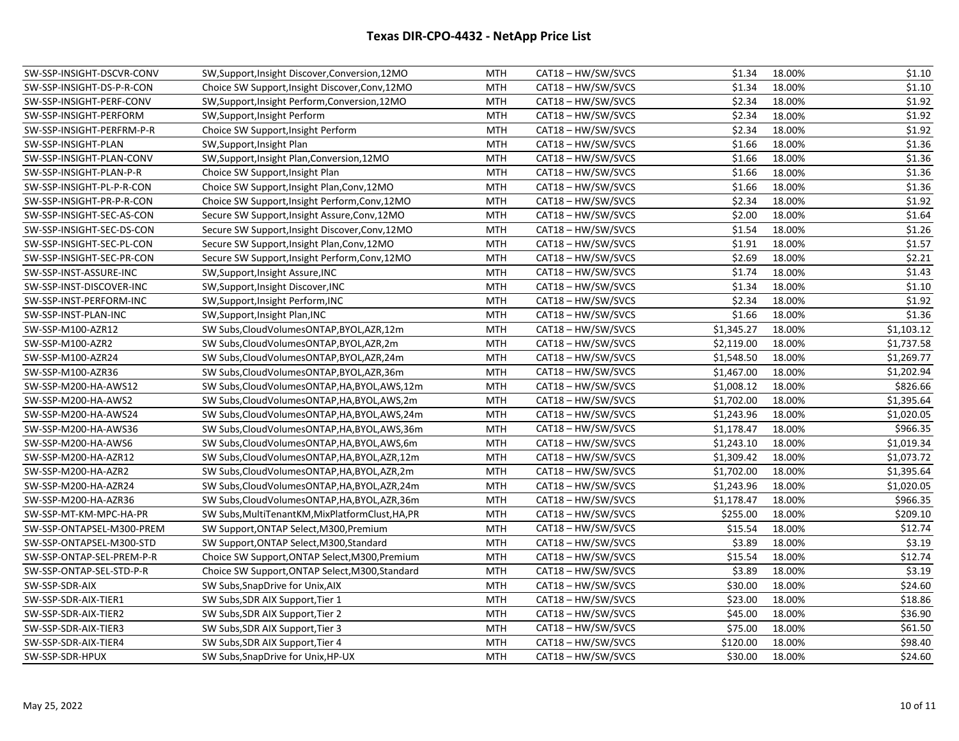| SW-SSP-INSIGHT-DSCVR-CONV | SW, Support, Insight Discover, Conversion, 12MO  | MTH        | CAT18 - HW/SW/SVCS | \$1.34     | 18.00% | \$1.10     |
|---------------------------|--------------------------------------------------|------------|--------------------|------------|--------|------------|
| SW-SSP-INSIGHT-DS-P-R-CON | Choice SW Support, Insight Discover, Conv, 12MO  | MTH        | CAT18 - HW/SW/SVCS | \$1.34     | 18.00% | \$1.10     |
| SW-SSP-INSIGHT-PERF-CONV  | SW, Support, Insight Perform, Conversion, 12MO   | <b>MTH</b> | CAT18 - HW/SW/SVCS | \$2.34     | 18.00% | \$1.92     |
| SW-SSP-INSIGHT-PERFORM    | SW, Support, Insight Perform                     | MTH        | CAT18 - HW/SW/SVCS | \$2.34     | 18.00% | \$1.92     |
| SW-SSP-INSIGHT-PERFRM-P-R | Choice SW Support, Insight Perform               | MTH        | CAT18 - HW/SW/SVCS | \$2.34     | 18.00% | \$1.92     |
| SW-SSP-INSIGHT-PLAN       | SW, Support, Insight Plan                        | MTH        | CAT18 - HW/SW/SVCS | \$1.66     | 18.00% | \$1.36     |
| SW-SSP-INSIGHT-PLAN-CONV  | SW, Support, Insight Plan, Conversion, 12MO      | MTH        | CAT18-HW/SW/SVCS   | \$1.66     | 18.00% | \$1.36     |
| SW-SSP-INSIGHT-PLAN-P-R   | Choice SW Support, Insight Plan                  | MTH        | CAT18 - HW/SW/SVCS | \$1.66     | 18.00% | \$1.36     |
| SW-SSP-INSIGHT-PL-P-R-CON | Choice SW Support, Insight Plan, Conv, 12MO      | MTH        | CAT18 - HW/SW/SVCS | \$1.66     | 18.00% | \$1.36     |
| SW-SSP-INSIGHT-PR-P-R-CON | Choice SW Support, Insight Perform, Conv, 12MO   | <b>MTH</b> | CAT18 - HW/SW/SVCS | \$2.34     | 18.00% | \$1.92     |
| SW-SSP-INSIGHT-SEC-AS-CON | Secure SW Support, Insight Assure, Conv, 12MO    | <b>MTH</b> | CAT18-HW/SW/SVCS   | \$2.00     | 18.00% | \$1.64     |
| SW-SSP-INSIGHT-SEC-DS-CON | Secure SW Support, Insight Discover, Conv, 12MO  | MTH        | CAT18 - HW/SW/SVCS | \$1.54     | 18.00% | \$1.26     |
| SW-SSP-INSIGHT-SEC-PL-CON | Secure SW Support, Insight Plan, Conv, 12MO      | <b>MTH</b> | CAT18 - HW/SW/SVCS | \$1.91     | 18.00% | \$1.57     |
| SW-SSP-INSIGHT-SEC-PR-CON | Secure SW Support, Insight Perform, Conv, 12MO   | <b>MTH</b> | CAT18 - HW/SW/SVCS | \$2.69     | 18.00% | \$2.21     |
| SW-SSP-INST-ASSURE-INC    | SW, Support, Insight Assure, INC                 | <b>MTH</b> | CAT18 - HW/SW/SVCS | \$1.74     | 18.00% | \$1.43     |
| SW-SSP-INST-DISCOVER-INC  | SW, Support, Insight Discover, INC               | <b>MTH</b> | CAT18-HW/SW/SVCS   | \$1.34     | 18.00% | \$1.10     |
| SW-SSP-INST-PERFORM-INC   | SW, Support, Insight Perform, INC                | <b>MTH</b> | CAT18 - HW/SW/SVCS | \$2.34     | 18.00% | \$1.92     |
| SW-SSP-INST-PLAN-INC      | SW, Support, Insight Plan, INC                   | <b>MTH</b> | CAT18 - HW/SW/SVCS | \$1.66     | 18.00% | \$1.36     |
| SW-SSP-M100-AZR12         | SW Subs, Cloud Volumes ONTAP, BYOL, AZR, 12m     | <b>MTH</b> | CAT18 - HW/SW/SVCS | \$1,345.27 | 18.00% | \$1,103.12 |
| SW-SSP-M100-AZR2          | SW Subs, Cloud Volumes ONTAP, BYOL, AZR, 2m      | MTH        | CAT18 - HW/SW/SVCS | \$2,119.00 | 18.00% | \$1,737.58 |
| SW-SSP-M100-AZR24         | SW Subs, Cloud Volumes ONTAP, BYOL, AZR, 24m     | MTH        | CAT18 - HW/SW/SVCS | \$1,548.50 | 18.00% | \$1,269.77 |
| SW-SSP-M100-AZR36         | SW Subs, Cloud Volumes ONTAP, BYOL, AZR, 36m     | MTH        | CAT18 - HW/SW/SVCS | \$1,467.00 | 18.00% | \$1,202.94 |
| SW-SSP-M200-HA-AWS12      | SW Subs, Cloud Volumes ONTAP, HA, BYOL, AWS, 12m | <b>MTH</b> | CAT18 - HW/SW/SVCS | \$1,008.12 | 18.00% | \$826.66   |
| SW-SSP-M200-HA-AWS2       | SW Subs, Cloud Volumes ONTAP, HA, BYOL, AWS, 2m  | <b>MTH</b> | CAT18 - HW/SW/SVCS | \$1,702.00 | 18.00% | \$1,395.64 |
| SW-SSP-M200-HA-AWS24      | SW Subs, Cloud Volumes ONTAP, HA, BYOL, AWS, 24m | <b>MTH</b> | CAT18 - HW/SW/SVCS | \$1,243.96 | 18.00% | \$1,020.05 |
| SW-SSP-M200-HA-AWS36      | SW Subs, Cloud Volumes ONTAP, HA, BYOL, AWS, 36m | <b>MTH</b> | CAT18 - HW/SW/SVCS | \$1,178.47 | 18.00% | \$966.35   |
| SW-SSP-M200-HA-AWS6       | SW Subs, Cloud Volumes ONTAP, HA, BYOL, AWS, 6m  | MTH        | CAT18 - HW/SW/SVCS | \$1,243.10 | 18.00% | \$1,019.34 |
| SW-SSP-M200-HA-AZR12      | SW Subs, Cloud Volumes ONTAP, HA, BYOL, AZR, 12m | <b>MTH</b> | CAT18 - HW/SW/SVCS | \$1,309.42 | 18.00% | \$1,073.72 |
| SW-SSP-M200-HA-AZR2       | SW Subs, Cloud Volumes ONTAP, HA, BYOL, AZR, 2m  | <b>MTH</b> | CAT18-HW/SW/SVCS   | \$1,702.00 | 18.00% | \$1,395.64 |
| SW-SSP-M200-HA-AZR24      | SW Subs, Cloud Volumes ONTAP, HA, BYOL, AZR, 24m | <b>MTH</b> | CAT18 - HW/SW/SVCS | \$1,243.96 | 18.00% | \$1,020.05 |
| SW-SSP-M200-HA-AZR36      | SW Subs, Cloud Volumes ONTAP, HA, BYOL, AZR, 36m | <b>MTH</b> | CAT18 - HW/SW/SVCS | \$1,178.47 | 18.00% | \$966.35   |
| SW-SSP-MT-KM-MPC-HA-PR    | SW Subs, MultiTenantKM, MixPlatformClust, HA, PR | MTH        | CAT18 - HW/SW/SVCS | \$255.00   | 18.00% | \$209.10   |
| SW-SSP-ONTAPSEL-M300-PREM | SW Support, ONTAP Select, M300, Premium          | <b>MTH</b> | CAT18 - HW/SW/SVCS | \$15.54    | 18.00% | \$12.74    |
| SW-SSP-ONTAPSEL-M300-STD  | SW Support, ONTAP Select, M300, Standard         | <b>MTH</b> | CAT18 - HW/SW/SVCS | \$3.89     | 18.00% | \$3.19     |
| SW-SSP-ONTAP-SEL-PREM-P-R | Choice SW Support, ONTAP Select, M300, Premium   | MTH        | CAT18 - HW/SW/SVCS | \$15.54    | 18.00% | \$12.74    |
| SW-SSP-ONTAP-SEL-STD-P-R  | Choice SW Support, ONTAP Select, M300, Standard  | MTH        | CAT18 - HW/SW/SVCS | \$3.89     | 18.00% | \$3.19     |
| SW-SSP-SDR-AIX            | SW Subs, SnapDrive for Unix, AIX                 | <b>MTH</b> | CAT18 - HW/SW/SVCS | \$30.00    | 18.00% | \$24.60    |
| SW-SSP-SDR-AIX-TIER1      | SW Subs, SDR AIX Support, Tier 1                 | <b>MTH</b> | CAT18 - HW/SW/SVCS | \$23.00    | 18.00% | \$18.86    |
| SW-SSP-SDR-AIX-TIER2      | SW Subs, SDR AIX Support, Tier 2                 | <b>MTH</b> | CAT18 - HW/SW/SVCS | \$45.00    | 18.00% | \$36.90    |
| SW-SSP-SDR-AIX-TIER3      | SW Subs, SDR AIX Support, Tier 3                 | <b>MTH</b> | CAT18-HW/SW/SVCS   | \$75.00    | 18.00% | \$61.50    |
| SW-SSP-SDR-AIX-TIER4      | SW Subs, SDR AIX Support, Tier 4                 | <b>MTH</b> | CAT18 - HW/SW/SVCS | \$120.00   | 18.00% | \$98.40    |
| SW-SSP-SDR-HPUX           | SW Subs, SnapDrive for Unix, HP-UX               | <b>MTH</b> | CAT18 - HW/SW/SVCS | \$30.00    | 18.00% | \$24.60    |